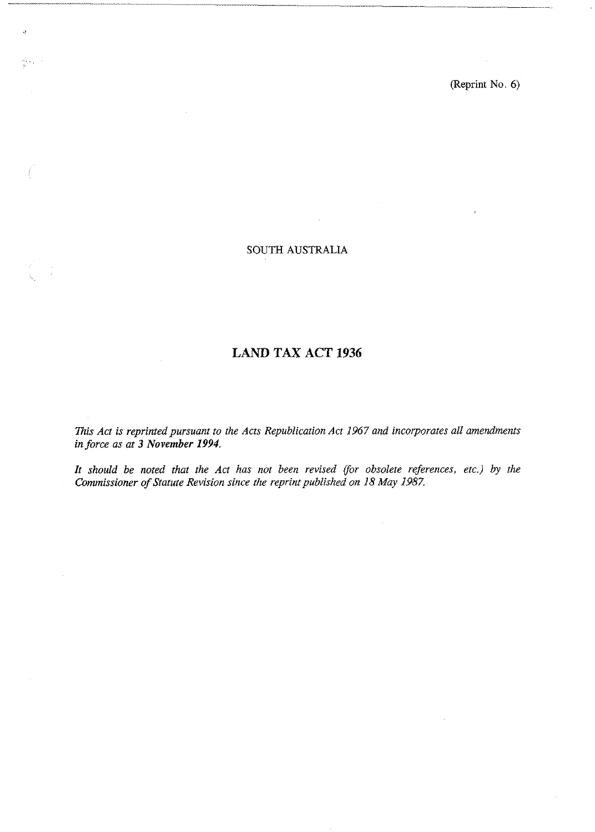(Reprint No. *6)* 

# SOUTH AUSTRALIA

Ó.

# **LAND TAX ACT 1936**

*This Act* **is** *reprinted pursuant to the Acts Republication Act 1967 and incorporates all amendments in force as at* **3** *November 1994.* 

*It should be noted that the Act has not been revised (for obsolete references, etc.) by the Commissioner of Statute Revision since the reprint published on I8 May 1987.*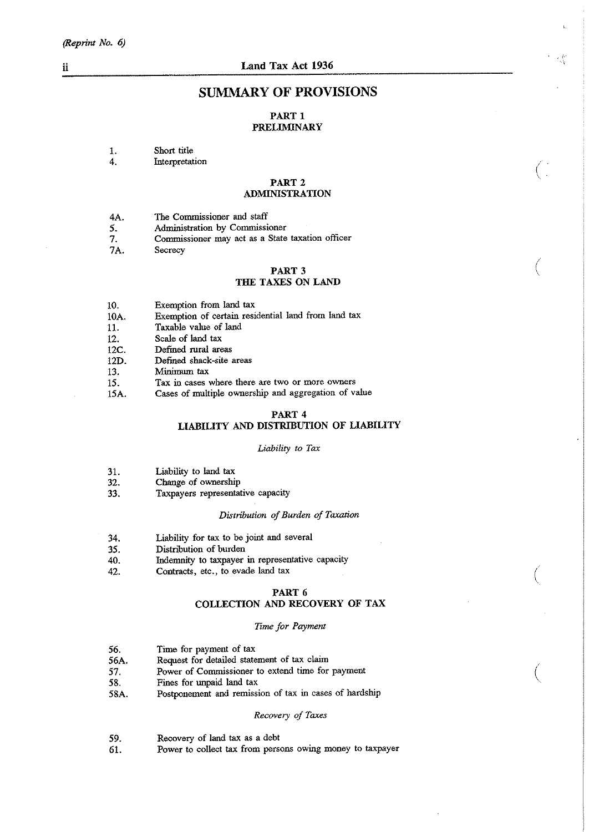#### Land Tax Act 1936

# **SUMMARY OF PROVISIONS**

#### **PART 1 PRELIMINARY**

# 1. Short title<br>4. Interpretat

**Interpretation** 

#### **PART 2 ADMINISTRATION**

- 4A. The Commissioner and staff
- Administration by Commissioner  $5<sub>1</sub>$
- Commissioner may act as a State taxation officer 7.
- 7A. **Secrecy**

#### **PART 3**

#### THE **TAXES ON LAND**

- Exemption from land tax  $10.$
- Exemption of certain residential land from land tax 10A.
- Taxable value of land 11.
- Scale of land tax 12.
- Defined rural areas 12C.
- Defined shack-site areas 12D.
- 13. Minimum tax
- 15. Tax in cases where there are two or more owners
- Cases of multiple ownership and aggregation of value 15A.

#### **PART 4**

# **LIABILITY** AND **DISTRIBUTION OF LIABILITY**

#### *Liabiliry ro Tar*

- Liability to land tax 31.
- Change of ownership 32.
- Taxpayers representative capacity 33.

#### *Distribution of Burden of Taxation*

- Liability for tax to be joint **and** several 34.
- Distribution of burden 35.
- Indemnity to taxpayer in representative capacity 40.
- Contracts, etc., to evade land tax 42.

#### **PART 6**

# **COLLECTION AND RECOVERY OF TAX**

#### **lime** *for* **Payment**

- 56. Time for payment of tax
- Request for detailed statement of tax claim 56A.
- Power of Commissioner to extend time for payment 57.
- 58. **Fines** for unpaid land. tax
- Postponement and remission of tax in cases of hardship 58A.

#### *Recovery of Taxes*

- 59. Recovery of land tax as a debt
- 61. Power to collect tax from persons owing money to taxpayer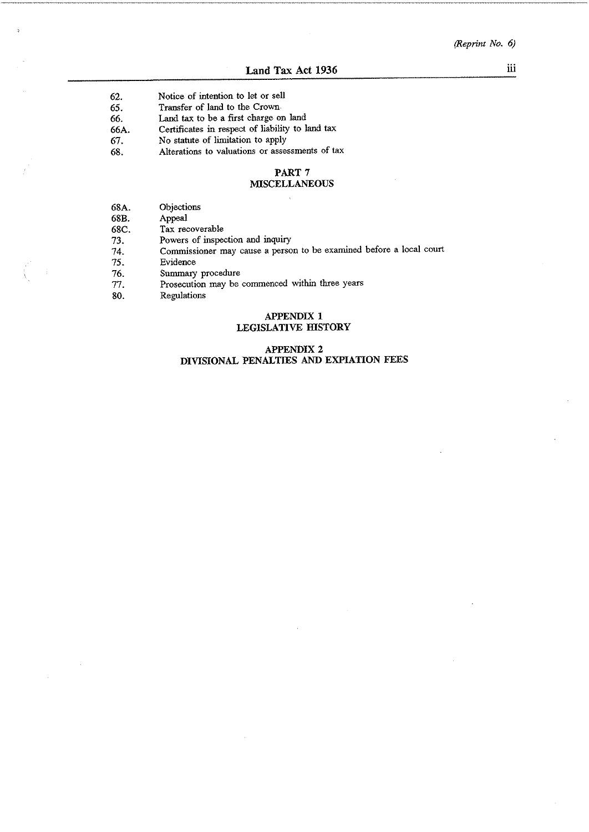- 62. Notice of intention to let or sell<br>65. Transfer of land to the Crown
- 65. Transfer of land to the Crown.<br>66. Land tax to be a first charge of
- 
- 66. Land tax to be a first charge on land<br>66A. Certificates in respect of liability to l 66A. Certificates in respect of liability to land tax<br>67. No statute of limitation to apply
- 67. No statute of limitation to apply<br>68. Alterations to valuations or asse
- Alterations to valuations or assessments of tax

# PART 7

# MISCELLANEOUS

- 68A. Objections
- 68B. Appeal<br>68C. Tax rec
- 68C. Tax recoverable<br>73. Powers of inspec
- 
- 73. Powers of inspection and inquiry<br>74. Commissioner may cause a perso 74. Commissioner may cause a person to be examined before a local court
- 
- 75. Evidence<br>76. Summary 76. Summary procedure<br>77. Prosecution may be
- 77. Prosecution may be commenced within three years<br>80. Regulations
- **Regulations**

#### APPENDIX 1 LEGISLATIVE HISTORY

#### APPENDIX 2 DIVISIONAL PENALTIES AND EXPIATION FEES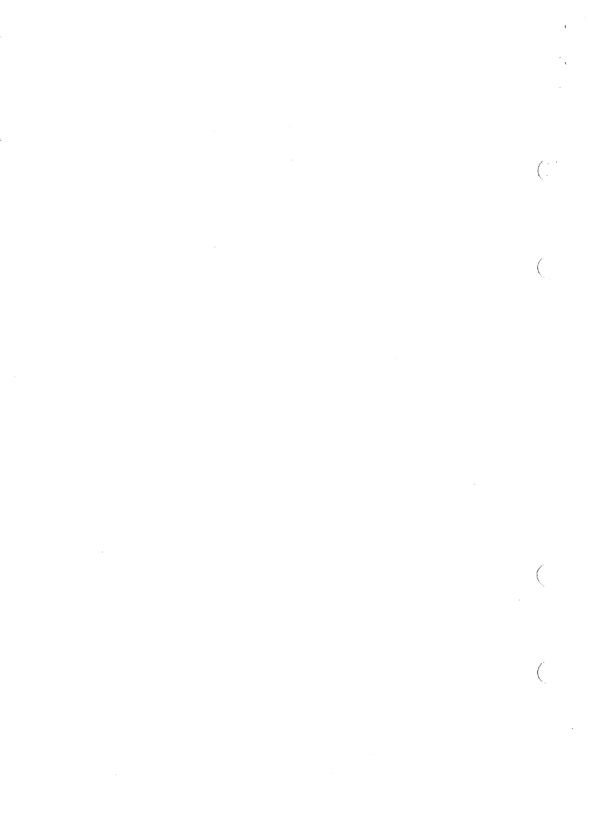$\left(\begin{array}{cc} 0 & 0 \\ 0 & 0 \end{array}\right)$  $\label{eq:2.1} \frac{1}{\sqrt{2}}\int_{\mathbb{R}^3}\frac{1}{\sqrt{2}}\left(\frac{1}{\sqrt{2}}\right)^2\frac{1}{\sqrt{2}}\left(\frac{1}{\sqrt{2}}\right)^2\frac{1}{\sqrt{2}}\left(\frac{1}{\sqrt{2}}\right)^2\frac{1}{\sqrt{2}}\left(\frac{1}{\sqrt{2}}\right)^2\frac{1}{\sqrt{2}}\left(\frac{1}{\sqrt{2}}\right)^2\frac{1}{\sqrt{2}}\frac{1}{\sqrt{2}}\frac{1}{\sqrt{2}}\frac{1}{\sqrt{2}}\frac{1}{\sqrt{2}}\frac{1}{\sqrt{2}}$  $\label{eq:2.1} \frac{1}{\sqrt{2}}\int_{\mathbb{R}^3}\frac{1}{\sqrt{2}}\left(\frac{1}{\sqrt{2}}\right)^2\frac{1}{\sqrt{2}}\left(\frac{1}{\sqrt{2}}\right)^2\frac{1}{\sqrt{2}}\left(\frac{1}{\sqrt{2}}\right)^2\frac{1}{\sqrt{2}}\left(\frac{1}{\sqrt{2}}\right)^2\frac{1}{\sqrt{2}}\left(\frac{1}{\sqrt{2}}\right)^2\frac{1}{\sqrt{2}}\frac{1}{\sqrt{2}}\frac{1}{\sqrt{2}}\frac{1}{\sqrt{2}}\frac{1}{\sqrt{2}}\frac{1}{\sqrt{2}}$  $\begin{pmatrix} 1 & 1 \\ 1 & 1 \end{pmatrix}$ 

 $\label{eq:2.1} \frac{d\mathbf{r}}{dt} = \frac{1}{2} \sum_{i=1}^n \frac{d\mathbf{r}}{dt} \left( \frac{d\mathbf{r}}{dt} \right) \mathbf{r}_i \mathbf{r}_i \mathbf{r}_j \mathbf{r}_j \mathbf{r}_j \mathbf{r}_j \mathbf{r}_j \mathbf{r}_j \mathbf{r}_j \mathbf{r}_j \mathbf{r}_j \mathbf{r}_j \mathbf{r}_j \mathbf{r}_j \mathbf{r}_j \mathbf{r}_j \mathbf{r}_j \mathbf{r}_j \mathbf{r}_j \mathbf{r}_j \mathbf{r}_j \math$ 

 $\label{eq:2.1} \mathcal{L}(\mathcal{L}^{\text{max}}_{\mathcal{L}}(\mathcal{L}^{\text{max}}_{\mathcal{L}})) \leq \mathcal{L}(\mathcal{L}^{\text{max}}_{\mathcal{L}}(\mathcal{L}^{\text{max}}_{\mathcal{L}}))$  $\frac{1}{2} \sum_{i=1}^n \frac{1}{2} \sum_{j=1}^n \frac{1}{2} \sum_{j=1}^n \frac{1}{2} \sum_{j=1}^n \frac{1}{2} \sum_{j=1}^n \frac{1}{2} \sum_{j=1}^n \frac{1}{2} \sum_{j=1}^n \frac{1}{2} \sum_{j=1}^n \frac{1}{2} \sum_{j=1}^n \frac{1}{2} \sum_{j=1}^n \frac{1}{2} \sum_{j=1}^n \frac{1}{2} \sum_{j=1}^n \frac{1}{2} \sum_{j=1}^n \frac{1}{2} \sum_{j=$ 

 $\overline{(\cdot)}$ 

 $\label{eq:2.1} \frac{1}{\sqrt{2}}\int_{0}^{\infty}\frac{1}{\sqrt{2\pi}}\left(\frac{1}{\sqrt{2\pi}}\right)^{2\alpha} \frac{1}{\sqrt{2\pi}}\int_{0}^{\infty}\frac{1}{\sqrt{2\pi}}\left(\frac{1}{\sqrt{2\pi}}\right)^{\alpha} \frac{1}{\sqrt{2\pi}}\frac{1}{\sqrt{2\pi}}\int_{0}^{\infty}\frac{1}{\sqrt{2\pi}}\frac{1}{\sqrt{2\pi}}\frac{1}{\sqrt{2\pi}}\frac{1}{\sqrt{2\pi}}\frac{1}{\sqrt{2\pi}}\frac{1}{\sqrt{2\pi}}$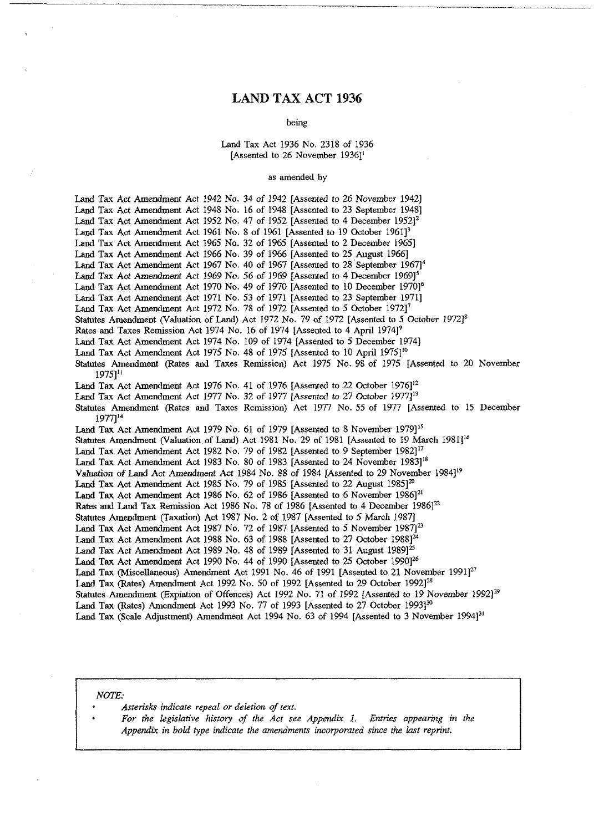# **LAND TAX ACT 1936**

being

Land Tax Act 1936 No. 2318 of 1936 [Assented to 26 November 19361'

as amended by

Land Tax Act Amendment Act 1942 No. 34 of 1942 [Assented to 26 November 1942) Land Tax Act Amendment Act 1948 No. 16 of 1948 [Assented to 23 September 19481 Land Tax Act Amendment Act 1952 No. 47 of 1952 [Assented to 4 December 19521' Land Tax Act Amendment Act 1961 No. 8 of 1961 [Assented to 19 October 1961]<sup>3</sup> Land Tax Act Amendment Act 1965 No. 32 of 1965 [Assented to 2 December I9651 Land Tax Act Amendment Act 1966 No. 39 of 1966 [Assented to 25 August 1966] Land Tax Act Amendment Act 1967 No. 40 of 1967 [Assented to 28 September 196714 Land Tax Act Amendment Act 1969 No. 56 of 1969 [Assented to 4 December 1969]<sup>5</sup> Land Tax Act Amendment Act 1970 No. 49 of 1970 [Assented to 10 December 1970]<sup>6</sup> Land Tax Act Amemlment Act 1971 No. 53 of 1971 [Assented to 23 September 19711 Land Tax Act Amendment Act 1972 No. 78 of 1972 [Assented to 5 October 1972]<sup>7</sup> Statutes Amendment (Valuation of Land) Act 1972 No. 79 of 1972 [Assented to 5 October 1972]<sup>8</sup> Rates **and** Taxes Remission Act 1974 No. 16 of 1974 [Assented to 4 April 1974J9 Land Tax Act Amendment Act 1974 No. 109 of 1974 [Assented to 5 December 19741 Land Tax Act Amendment Act 1975 No. 48 of 1975 [Assented to 10 April 1975]<sup>10</sup> Statutes Amendment (Rates and Taxes Remission) Act 1975 No. 98 of 1975 [Assented to 20 November 1975J1' Land Tax Act Amendment Act 1976 No. 41 of 1976 [Assented to 22 October  $19761^{2}$ ] Land Tax Act Amendment Act 1977 No. 32 of 1977 [Assented to 27 October 19771') Statutes Amendment (Rates and Taxes Remission) Act 1977 No. 55 of 1977 [Assented to 15 December 1977<sup>14</sup> Land Tax Act Amendment Act 1979 No. 61 of 1979 [Assented to 8 November 1979]<sup>15</sup> Statutes Amendment (Valuation of Land) Act 1981 No. 29 of 1981 [Assented to 19 March 1981]<sup>16</sup> Land Tax Act Amendment Act 1982 No. 79 of 1982 [Assented to 9 September 19821" Land Tax Act Amendment Act 1983 No. 80 of 1983 [Assented to 24 November 1983]<sup>18</sup> Valuation of Land Act Amendment Act 1984 No. 88 of 1984 [Assented to 29 November 1984)19 Land Tax Act Amendment Act 1985 No. 79 of 1985 [Assented to 22 August 1985]<sup>20</sup> Land Tax Act Amendment Act 1986 No. 62 of 1986 [Assented to 6 November 1986]<sup>21</sup> Rates and Land Tax Remission Act 1986 No. 78 of 1986 [Assented to 4 December 1986]<sup>22</sup> Statutes Amendment (Taxation) Act 1987 No. 2 of I987 [Assented to **5** March 19871 Land Tax Act Amendment Act 1987 No. 72 of 1987 [Assented to 5 November 1987]<sup>23</sup> Land Tax Act Amendment Act 1988 No. 63 of 1988 [Assented to 27 October 1988]<sup>24</sup> Land Tax Act Amendment Act 1989 No. 48 of 1989 [Assented to 31 August 1989]<sup>25</sup> Land Tax Act Amendment Act 1990 No. 44 of 1990 [Assented to 25 October 1990]<sup>26</sup> Land Tax (Miscellaneous) Amendment Act 1991 No. 46 of 1991 [Assented to 21 November 1991]<sup>27</sup> Land Tax (Rates) Amendment Act 1992 No. 50 of 1992 [Assented to 29 October 1992]<sup>28</sup> Statutes Amendment (Expiation of Offences) Act 1992 No. 71 of 1992 [Assented to 19 November 1992]<sup>29</sup> Land Tax (Rates) Amendment Act 1993 No. 77 of 1993 [Assented to 27 October 1993]<sup>30</sup> Land Tax (Scale Adjustment) Amendment Act 1994 No. 63 of 1994 [Assented to 3 November 199413'

*NOTE:* 

- *Asterisks indicate repeal or deletion of text.* 

For the legislative history of the Act see Appendix 1. Entries appearing in the *Appendix in bold type indicate the amendments incorporated since the last reprint.*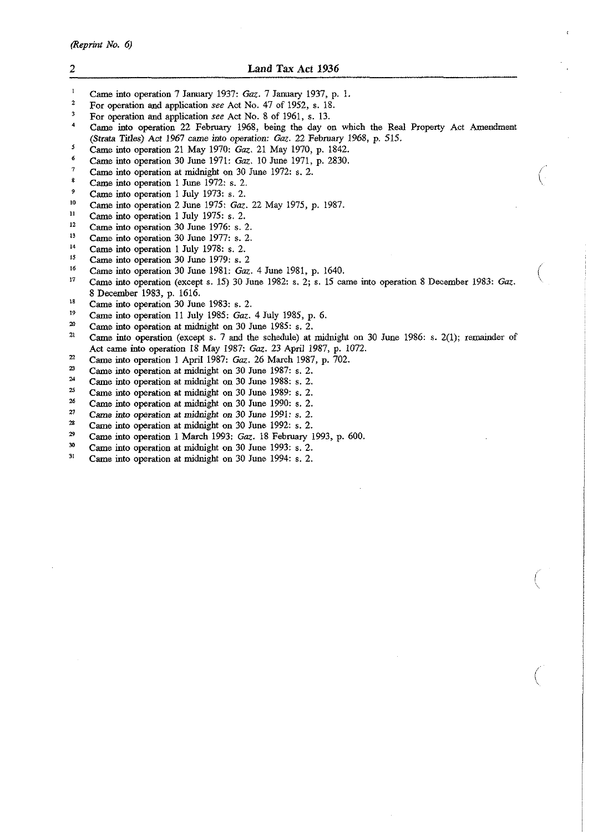$\mathbf{1}$  $\mathbf 2$  $\overline{\mathbf{3}}$  $\boldsymbol{\Delta}$ 

ś 6 7  $\ddot{\textbf{a}}$  $\dot{9}$ 10  $\mathbf{11}$  $\overline{12}$  $\overline{13}$  $\overline{14}$  $15$ 16  $17$ 

Came into operation 7 January 1937: *Gaz.* 7 January 1937, p. 1. For operation **and** application **see** Act No. 47 of 1952, *s.* 18. For operation and application **see** Act No. 8 of 1961, *s.* 13. Came into operation 22 February 1968, being the day on which the Real Property Act Amendment (Strata Titles) Act 1967 came into operation: *Gaz.* 22 Febniary 1968, p. 515. Came into operation 21 May 1970: *Gaz.* 21 May 1970, p. 1842. Came into operation 30 June 1971: *Gaz.* 10 June 1971, p. 2830. Came into operation at midnight on 30 June 1972: *s.* 2. Came into operation 1 June 1972: s. 2. Came into operation 1 July 1973: *s.* 2. Came into operation 2 June 1975: **Gaz.** 22 May 1975, p. 1987. Came into operation 1 July 1975: *s.* 2. Came into operation 30 June 1976: *s.* 2. Came into operation 30 June 1977: s. 2. Came into operation 1 July 1978: s. 2. Came into operation 30 June 1979: s. 2 Came into operation 30 June 1981: *Gaz.* 4 June 1981, p. 1640. Came into operation (except *s.* IS) 30 June 1982: **s.** 2; s. 15 came into operation 8 December 1983: *Gaz.* 

- 8 December 1983, p. 1616.
- 18 Came into operation 30 June 1983: *s.* 2.
- $19$ Came into operation 11 July 1985: *Gaz.* 4 July 1985, p. 6.

**2 Land Tax Act 1936** 

- $\boldsymbol{\mathcal{D}}$ Came into operation at midnight on 30 June 1985: *s.* 2.
- $21$ Came into operation (except *s.* 7 and the schedule) at midnight on 30 June 1986: *s.* 2(1); remainder of Act came into operation 18 May 1987: *Gaz.* 23 April 1987, p. 1072.
- $\boldsymbol{\mathcal{Z}}$ Came into operation 1 April 1987: *Gaz.* 26 March 1987, p. 702.
- $\mathfrak{B}$ Came into operation at midnight on 30 June 1987: s. 2.
- 24 Came into operation at midnight on 30 June 1988: *s.* 2.
- Came into operation at midnight on 30 June 1989: *s.* 2. 25
- $\overline{26}$ Came into operation at midnight on 30 June 1990: *s.* 2.
- $\overline{27}$ Came into operation at midnight on 30 June 1991: *s.* 2.
- Came into operation at midnight on 30 June 1992: s. *2.*   $\infty$
- $\overline{29}$ Came into operation 1 March 1993: *Gaz.* 18 February 1993, p. 600.
- $30$ Came into operation at midnight on 30 June 1993: *s.* 2.
- 31 Came into operation at midnight on 30 June 1994: s. 2.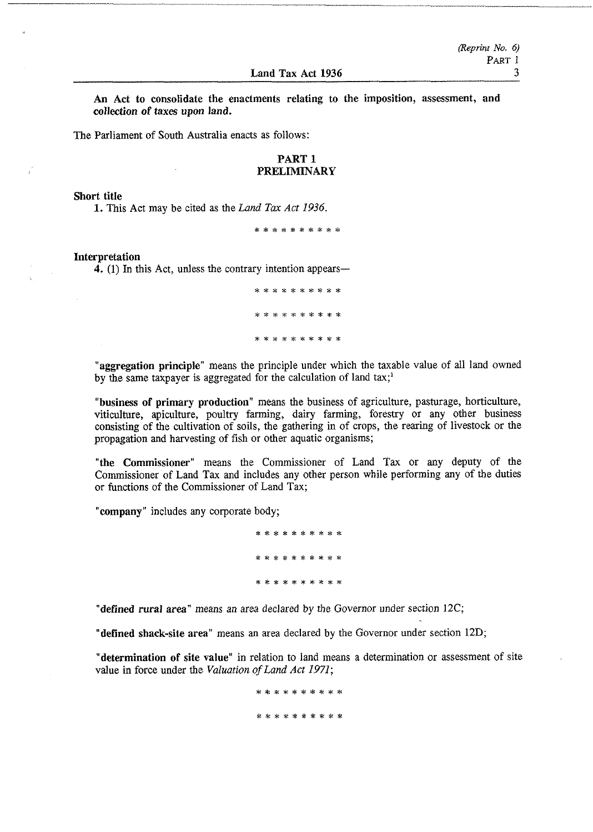Land Tax Act 1936 3

**An** Act to consolidate the enactments relating to the imposition, assessment, and collection of taxes upon land.

The Parliament of South Australia enacts as follows:

#### PART<sub>1</sub> **PRELIMINARY**

Short title

1. This Act may be cited as the *Land* Taw *Act 1936.* 

\* \* \* \* \* \* \* \* \* \*

#### **Interpretation**

4. (1) In this Act, unless the contrary intention appears—

\* \* \* \* \* \* \* \* \* \* \* \* \* \* \* \* \* \* \* \* \* \* \* \* \* \* \*

"aggregation principle" means the principle under which the taxable value of all land owned by the same taxpayer is aggregated for the calculation of land  $tax$ ;<sup>1</sup>

"business of primary production" means the business of agriculture, pasturage, horticulture, viticulture, apiculture, poultry farming, dairy farming, forestry or any other business consisting of the cultivation of soils, the gathering in of crops, the rearing of livestock or the propagation and harvesting of fish or other aquatic organisms;

"the Commissioner" means the Commissioner of Land Tax or any deputy of the Commissioner of Land Tax and includes any other person while performing any of the duties or functions of the Commissioner of Land Tax;

"company" includes any corporate body;

\* \* \* \* \* \* \* \* \* \* \* \* \* \* \* \* \* \* \* \* \* \* \* \* \*

"defined rural area" means an area declared by the Governor under section 12C;

"defined shack-site area" means an area declared by the Governor under section 12D;

"determination of site value" in relation to land means a determination or assessment of site value in force under the *Valuation of Land Act 1971;* 

\* \* \* \* \* \* \* \* \*

\* \* \* \* \* \* \* \* \* \*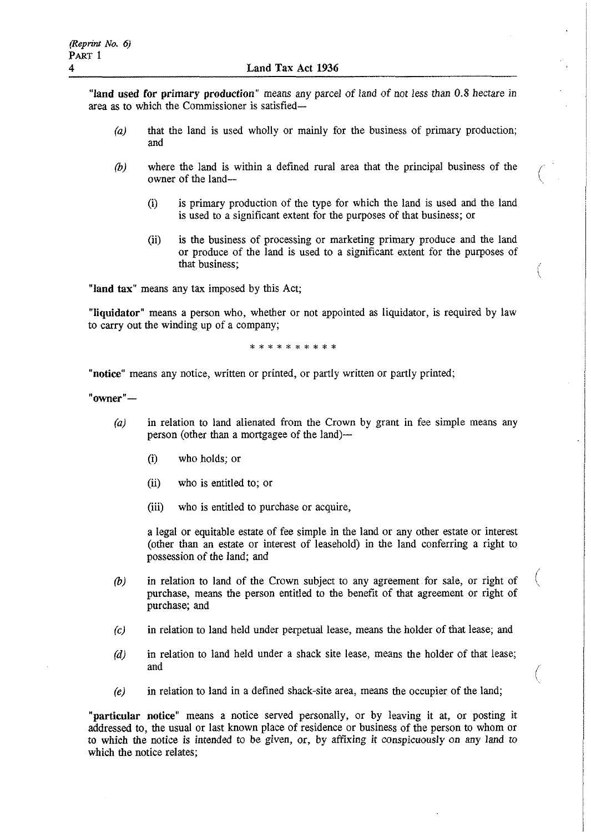"land used for primary production" means any parcel of land of not less than 0.8 hectare in area as to which the Commissioner is satisfied-

- **(a)** that the land is used wholly or mainly for the business of primary production; and
- $(b)$  where the land is within a defined rural area that the principal business of the owner of the  $land-$ 
	- (i) is primary production of the type for which the land is used and the land is used to a significant extent for the purposes of that business; or
	- (ii) is the business of processing or marketing primary produce and the land or produce of the land is used to a significant extent for the purposes of that business;

"land tax" means any tax imposed by this Act;

"liquidator" means a person who, whether or not appointed as liquidator, is required by law to carry out the winding up of a company;

\* \* \* \* \* \* \* \* \* \*

"notice" means any notice, written or printed, or partly written or partly printed;

"owner"—

- **(a)** in relation to land alienated from the Crown by grant in fee simple means any person (other than a mortgagee of the land)-
	- (i) who holds; or
	- (ii) who is entitled to; or
	- (iii) who is entitled to purchase or acquire,

a legal or equitable estate of fee simple in the land or any other estate or interest (other than an estate or interest of leasehold) in the land conferring a right to possession of the land; and

- (b) in relation to land of the Crown subject to any agreement for sale, or right of purchase, means the person entitled to the benefit of that agreement or right of purchase; and
- **(c)** in relation to land held under perpetual lease, means the holder of that lease; and
- (d) in relation to land held under a shack site lease, means the holder of that lease; and

 $\Big(\Big\}$ 

*(e)* in relation to land in a defined shack-site area, means the occupier of the land;

"particular notice" means a notice served personally, or by leaving it at, or posting it addressed to, the usual or last known place of residence or business of the person to whom or to which the notice is intended to be given, or, by affixing it conspicuously on any land to which the notice relates;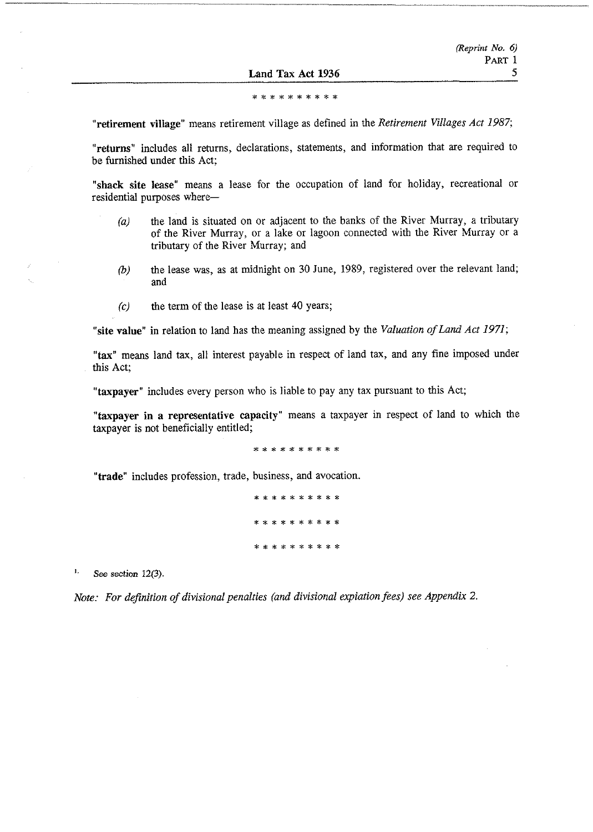**Land Tax Act 1936** 

#### \* \* \* \* \* \* \* \* \* \*

"retirement village" means retirement village as defined in the *Retirement Villages Act* 1987;

"returns" includes all returns, declarations, statements, and information that are required to be furnished under this Act;

"shack site lease" means a lease for the occupation of land for holiday, recreational or residential purposes where-

- *(a)* the land is situated on or adjacent to the banks of the River Murray, a tributary of the River Murray, or a lake or lagoon connected with the River Murray or a tributary of the River Murray; and
- (b) the lease was, as at midnight on 30 June, 1989, registered over the relevant land; and
- **(c)** the term of the lease is at least 40 years;

"site value" in relation to land has the meaning assigned by the *Valuation of Land Act* 1971;

"tax" means land tax, all interest payable in respect of land tax, and any fine imposed under this Act;

"taxpayer" includes every person who is liable to pay any tax pursuant to this Act;

"taxpayer in a representative capacity" means a taxpayer in respect of land to which the taxpayer is not beneficially entitled;

\*\*\*\*\*\*\*\*

"trade" includes profession, trade, business, and avocation

**\*\*\*\*\*\*\*\*a\***  \* \* \* \* \* \* \* \* \* \* \* \* \*

'. **See section 12(3).** 

*Note: For definition of divisional penalties (and divisional expiation fees) see Appendix 2.*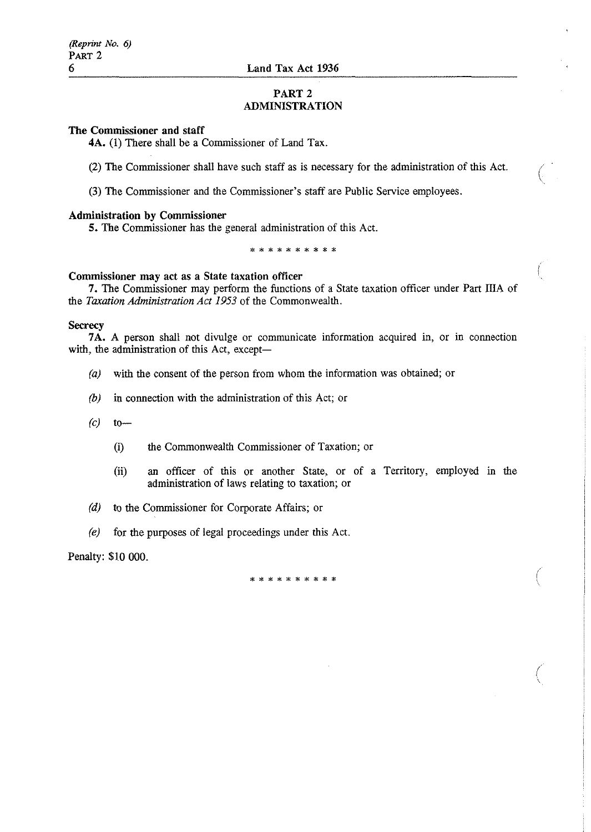### PART **2**  ADMINISTRATION

#### The Commissioner and staff

4A. (1) There shall be a Commissioner of Land Tax.

- $(2)$  The Commissioner shall have such staff as is necessary for the administration of this Act.
- **(3)** The Commissioner and the Commissioner's staff are Public Service employees.

#### Administration by Commissioner

**5.** The Commissioner has the general administration of this Act.

\* \* \* \* \* \* \*

#### Commissioner may act as a State taxation officer

7. The Commissioner may perform the functions of a State taxation ofticer under Part IIIA of the *Taxation Administration Act 1953* of the Commonwealth.

#### **Secrecy**

7A. A person shall not divulge or communicate information acquired in, or in connection with, the administration of this Act, except-

- *(a)* with the consent of the person from whom the information was obtained; or
- $(b)$  in connection with the administration of this Act; or
- $(c)$  to  $-$ 
	- (i) the Commonwealth Commissioner of Taxation; or
	- (ii) an officer of this or another State, or of a Territory, employed in the administration of laws relating to taxation; or
- (d) to the Commissioner for Corporate Affairs; or
- *(e)* for the purposes of legal proceedings under this Act.

Penalty: \$10 000.

\* \* \* \* \* \* \* \* \* \*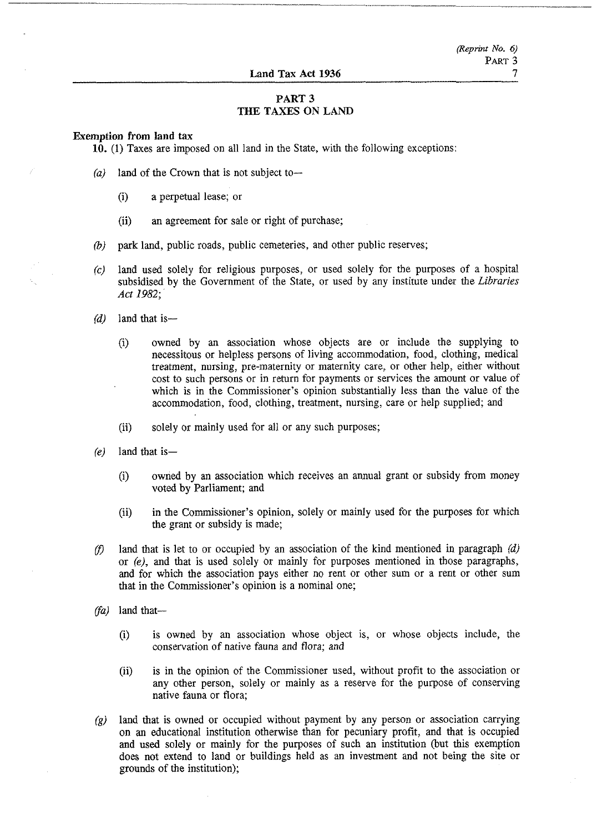*(Reprim No.* 6) **PART 3** 

Land Tax Act **1936** 7

#### PART **3**  THE TAXES ON LAND

#### Exemption from land **tax**

10. (1) Taxes are imposed on all land in the State, with the following exceptions:

- $(a)$  land of the Crown that is not subject to-
	- (i) a perpetual lease; or
	- (ii) an agreement for sale or right of purchase;
- **(bJ** park land, public roads, public cemeteries, and other public reserves;
- (c) land used solely for religious purposes, or used solely for the purposes of a hospital subsidised by the Government of the State, or used by any institute under the *Libraries Act* 1982;
- $(d)$  land that is-
	- (i) owned by an association whose objects are or include the supplying to necessitous or helpless persons of living accommodation, food, clothing, medical treatment, nursing, pre-maternity or maternity care, or other help, either without cost to such persons or in return for payments or services the amount or value of which is in the Commissioner's opinion substantially less than the value of the accommodation, food, clothing, treatment, nursing, care or help supplied; and
	- (ii) solely or mainly used for all or any such purposes;
- $(e)$  land that is-
	- (i) owned by an association which receives an annual grant or subsidy from money voted by Parliament; and
	- (ii) in the Commissioner's opinion, solely or mainly used for the purposes for which the grant or subsidy is made;
- **If land that is let to or occupied by an association of the kind mentioned in paragraph**  $(d)$ or *(e),* and that is used solely or mainly for purposes mentioned in those paragraphs, and for which the association pays either no rent or other sum or a rent or other sum that in the Commissioner's opinion is a nominal one;
- $f(a)$  land that-
	- (i) is owned by an association whose object is, or whose objects include, the conservation of native fauna and flora; and
	- (ii) is in the opinion of the Commissioner used, without profit to the association or any other person, solely or mainly as a reserve for the purpose of conserving native fauna or flora;
- **(g)** land that is owned or occupied without payment by any person or association carrying on an educational institution otherwise than for pecuniary profit, and that is occupied and used solely or mainly for the purposes of such an institution (but this exemption does not extend to land or buildings held as an investment and not being the site or grounds of the institution);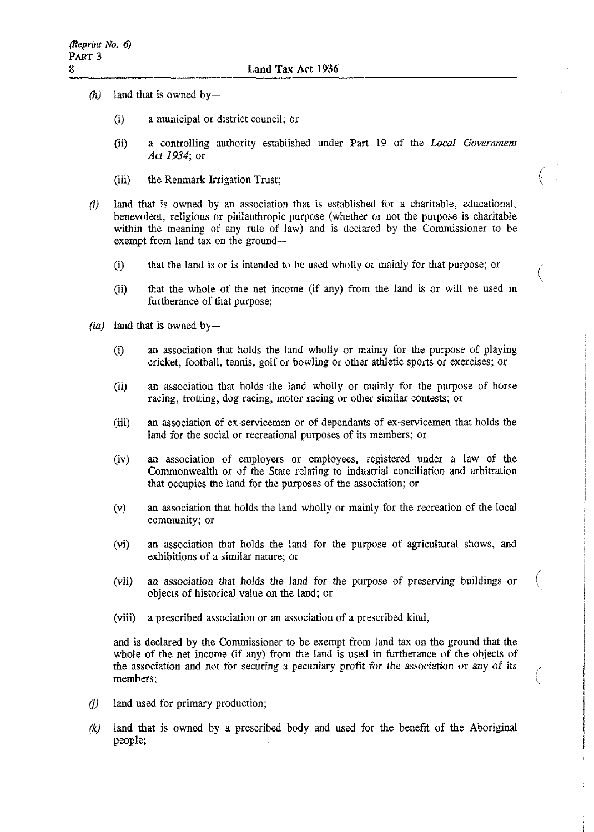- $(h)$  land that is owned by-
	- (i) a municipal or district council; or
	- (ii) a controlling authority established under **Part** 19 of the Local Government Act 1934; or
	- (iii) the Renmark Irrigation Trust;
- **(i)** land that is owned by an association that is established for a charitable, educational, benevolent, religious or philanthropic purpose (whether or not the purpose is charitable within the meaning of any rule of law) and is declared by the Commissioner to be exempt from land tax on the ground-
	- $(i)$  that the land is or is intended to be used wholly or mainly for that purpose; or
	- (ii) that the whole of the net income (if any) from the land is or will be used in furtherance of that purpose;
- **(ia)** land that is owned by-
	- **(i)** an association that holds the land wholly or mainly for the purpose of playing cricket, football, tennis, golf or bowling or other athletic sports or exercises; or
	- (ii) an association that holds the land wholly or mainly for the purpose of horse racing, trotting, dog racing, motor racing or other similar contests; or
	- (iii) an association of ex-servicemen or of dependants of ex-servicemen that holds the land for the social or recreational purposes of its members; or
	- (iv) an association of employers or employees, registered under a law of the Commonwealth or of the State relating to industrial conciliation and arbitration that occupies the land for the purposes of the association; or
	- (v) an association that holds the land wholly or mainly for the recreation of the local community; or
	- (vi) an association that holds the land for the purpose of agricultural shows, and exhibitions of a similar nature; or
	- (vii) an association that holds the land for the purpose of preserving buildings or \ objects of historical value on the land; or
	- (viii) a prescribed association or an association of a prescribed kind,

and is declared by the Commissioner to be exempt from land tax on the ground that the whole of the net income (if any) from the land is used in furtherance of the objects of the association and not for securing a pecuniary profit for the association or any of its members;

- $(i)$  land used for primary production;
- *(k)* land that is owned by a prescribed body and used for the benefit of the Aboriginal people;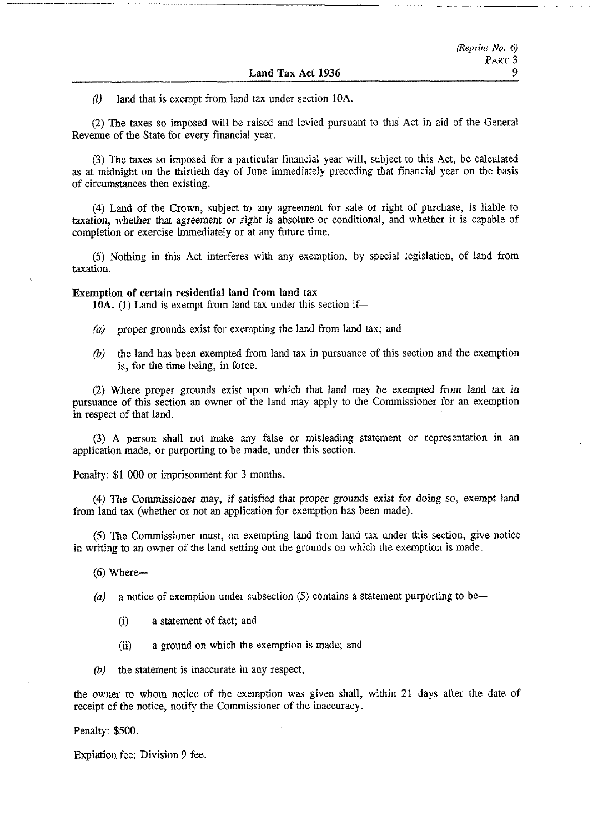(I) land that is exempt from land tax under section 10A.

(2) The taxes so imposed will be raised and levied pursuant to this Act in aid of the General Revenue of the State for every financial year.

**(3)** The taxes so imposed for a particular financial year will, subject to this Act, be calculated as at midnight on the thirtieth day of June immediately preceding that financial year on the basis of circumstances then existing.

(4) Land of the Crown, subject to any agreement for sale or right of purchase, is liable to taxation, whether that agreement or right is absolute or conditional, and whether it is capable of completion or exercise immediately or at any future time.

(5) Nothing in this Act interferes with any exemption, by special legislation, of land from taxation.

#### Exemption of certain residential land from land tax

**10A.** (1) Land is exempt from land tax under this section if—

- (a) proper grounds exist for exempting the land from land tax; and
- (b) the land has been exempted from land tax in pursuance of this section and the exemption is, for the time being, in force.

(2) Where proper grounds exist upon which that land may be exempted from land tax in pursuance of this section an owner of the land may apply to the Commissioner for an exemption in respect of that land.

**(3) A** person shall not make any false or misleading statement or representation in an application made, or purporting to be made, under this section.

Penalty: \$1 000 or imprisonment for **3** months.

(4) The Commissioner may, if satisfied that proper grounds exist for doing so, exempt land from land tax (whether or not an application for exemption has been made).

(5) The Commissioner must, on exempting land from land tax under this section, give notice in writing to an owner of the land setting out the grounds on which the exemption is made.

 $(6)$  Where--

(a) a notice of exemption under subsection (5) contains a statement purporting to be-

- (i) a statement of fact; and
- (ii) a ground on which the exemption is made; and
- $(b)$  the statement is inaccurate in any respect,

the owner to whom notice of the exemption was given shall, within 21 days after the date of receipt of the notice, notify the Commissioner of the inaccuracy.

Penalty: \$500.

Expiation fee: Division 9 fee.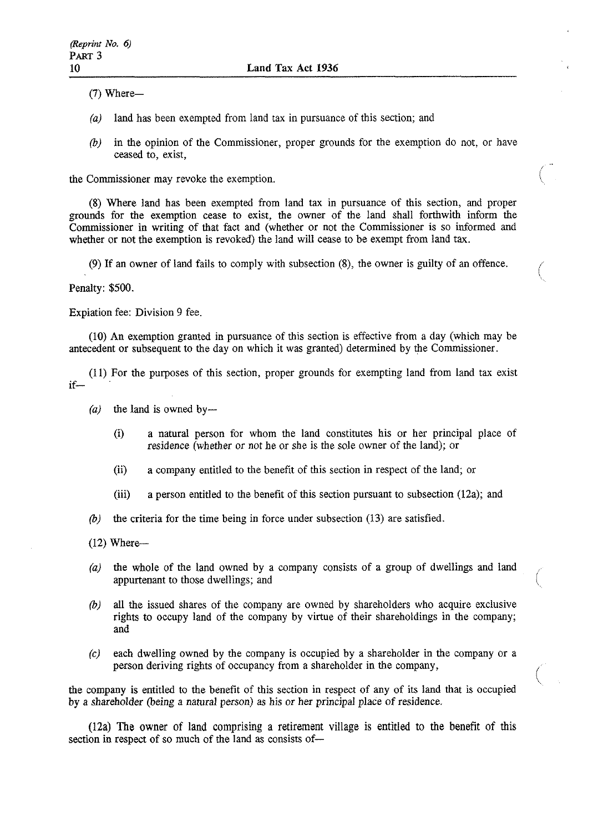- **(7)** Where-
- **(a)** land has been exempted from land tax in pursuance of this section; and
- (b) in the opinion of the Commissioner, proper grounds for the exemption do not, or have ceased to, exist, to the definition of the Commissioner, proper grounds for the exemption do not, or have<br>ceased to, exist,<br>the Commissioner may revoke the exemption.

(8) Where land has been exempted from land tax in pursuance of this section, and proper grounds for the exemption cease to exist, the owner of the land shall forthwith inform the Commissioner in writing of that fact and (whether or not the Commissioner is so informed and whether or not the exemption is revoked) the land will cease to be exempt from land tax.

(9) If an owner of land fails to comply with subsection **(8),** the owner is guilty of an offence. i

Penalty: \$500.

Expiation fee: Division 9 fee.

(10) An exemption granted in pursuance of this section is effective from a day (which may be antecedent or subsequent to the day on which it was granted) determined by the Commissioner.

(11) For the purposes of this section, proper grounds for exempting land from land tax exist if-

(a) the land is owned by-

- (i) a natural person for whom the land constitutes his or her principal place of residence (whether or not he or she is the sole owner of the land); or
- (ii) a company entitled to the benefit of this section in respect of the land; or
- (iii) a person entitled to the benefit of this section pursuant to subsection (12a); and

(b) the criteria for the time being in force under subsection  $(13)$  are satisfied.

 $(12)$  Where-

- (a) the whole of the land owned by a company consists of a group of dwellings and land where—<br>the whole of the land owned by a company consists of a group of dwellings and land<br>appurtenant to those dwellings; and
- (b) all the issued shares of the company are owned by shareholders who acquire exclusive rights to occupy land of the company by virtue of their shareholdings in the company; and
- (c) each dwelling owned by the company is occupied by a shareholder in the company or a person deriving rights of occupancy from a shareholder in the company,  $\left(\right)$

the company is entitled to the benefit of this section in respect of any of its land that is occupied by a shareholder @eing a natural person) as his or her principal place of residence.

**(12a)** The owner of land comprising a retirement village is entitled to the benefit of this section in respect of so much of the land as consists of-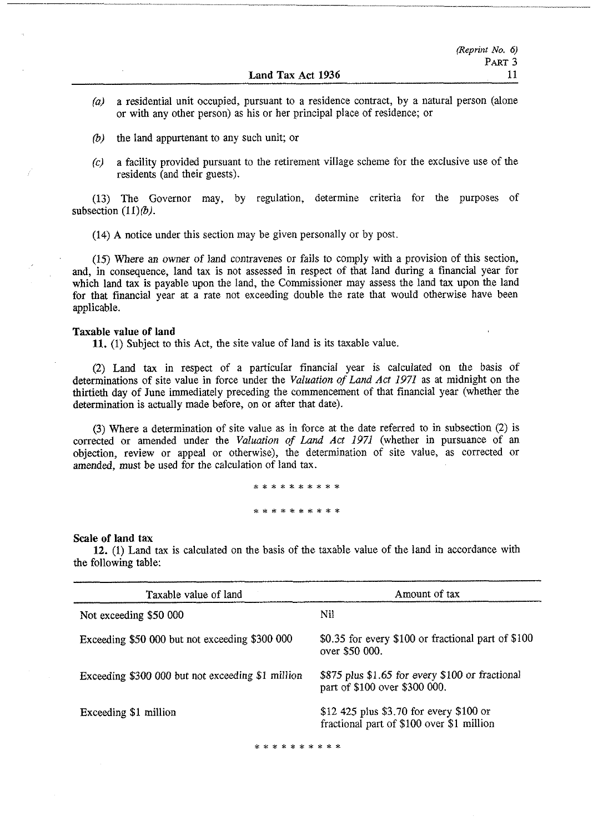#### Land Tax **Act 1936**

- *(a)* a residential unit occupied, pursuant to a residence contract, by a natural person (alone or with any other person) as his or her principal place of residence; or
- $(b)$  the land appurtenant to any such unit; or
- **(c)** a facility provided pursuant to the retirement village scheme for the exclusive use of the residents (and their guests).

(13) The Governor may, by regulation, determine criteria for the purposes of subsection  $(11)(b)$ .

(14) A notice under this section may be given personally or by post.

(15) Where an owner of land contravenes or fails to comply with a provision of this section, and, in consequence, land tax is not assessed in respect of that land during a financial year for which land tax is payable upon the land, the Commissioner may assess the land tax upon the land for that financial year at a rate not exceeding double the rate that would otherwise have been applicable.

#### Taxable value **of** land

**11.** (1) Subject to this Act, the site value of land is its taxable value.

(2) Land tax in respect of a particular financial year is calculated on the basis of determinations of site value in force under the *Valuation of Land Act 1971* as at midnight on the thirtieth day of June immediately preceding the commencement of that financial year (whether the determination is actually made before, on or after that date).

(3) Where a determination of site value as in force at the date referred to in subsection (2) is corrected or amended under the *Valuation of* Land *Act* 1971 (whether in pursuance of an objection, review or appeal or otherwise), the determination of site value, as corrected or amended, must be used for the calculation of land tax.

Scale **of** land tax

12. (1) Land tax is calculated on the basis of the taxable value of the land in accordance with the following table:

| Taxable value of land                             | Amount of tax                                                                        |  |
|---------------------------------------------------|--------------------------------------------------------------------------------------|--|
| Not exceeding \$50 000                            | Nil                                                                                  |  |
| Exceeding \$50 000 but not exceeding \$300 000    | \$0.35 for every \$100 or fractional part of \$100<br>over \$50 000.                 |  |
| Exceeding \$300 000 but not exceeding \$1 million | \$875 plus \$1.65 for every \$100 or fractional<br>part of \$100 over \$300 000.     |  |
| Exceeding \$1 million                             | \$12 425 plus \$3.70 for every \$100 or<br>fractional part of \$100 over \$1 million |  |

\* \* \* \* \* \* \* \* \*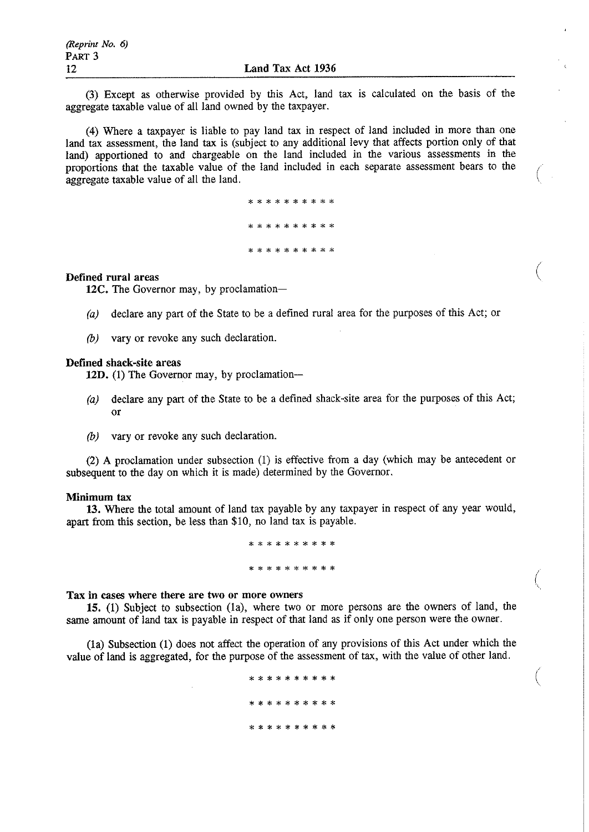**(3)** Except as otherwise provided by this Act, land tax is calculated on the basis of the aggregate taxable value of all land owned by the taxpayer.

(4) Where a taxpayer is liable to pay land tax in respect of land included in more than one land tax assessment, the land tax is (subject to any additional levy that affects portion only of that land) apportioned to and chargeable on the land included in the various assessments in the proportions that the taxable value of the land included in each separate assessment bears to the aggregate taxable value of all the land.

> \* \* \* \* \* \* \* \* \* \* \* \* \* \* \* \*

#### Defined rural areas

12C. The Governor may, by proclamation-

- (a) declare any part of the State to be a defined rural area for the purposes of this Act; or
- (b) vary or revoke any such declaration.

#### Defined shack-site areas

12D. (1) The Governor may, by proclamation-

- (a) declare any part of the State to be a defined shack-site area for the purposes of this Act; or
- (b) vary or revoke any such declaration.

(2) A proclamation under subsection (1) is effective from a day (which may be antecedent or subsequent to the day on which it is made) determined by the Governor.

#### Minimum **tax**

**13.** Where the total amount of land tax payable by any taxpayer in respect of any year would, apart from this section, be less than \$10, no land tax is payable.

> \* \* \* \* \* \* \* \* \* \* \* \* \* \* \* \* \* \* \* \* \*

#### **Tax** in eases where there are two or more owners

15. (1) Subject to subsection (la), where two or more persons are the owners of land, the same amount of land tax is payable in respect of that land as if only one person were the owner.

(la) Subsection (1) does not affect the operation of any provisions of this Act under which the value of land is aggregated, for the purpose of the assessment of tax, with the value of other land. the operation of any provisions of this Act under which the ose of the assessment of tax, with the value of other land.<br>\*\*\*\*\*\*\*\*\*\*  $($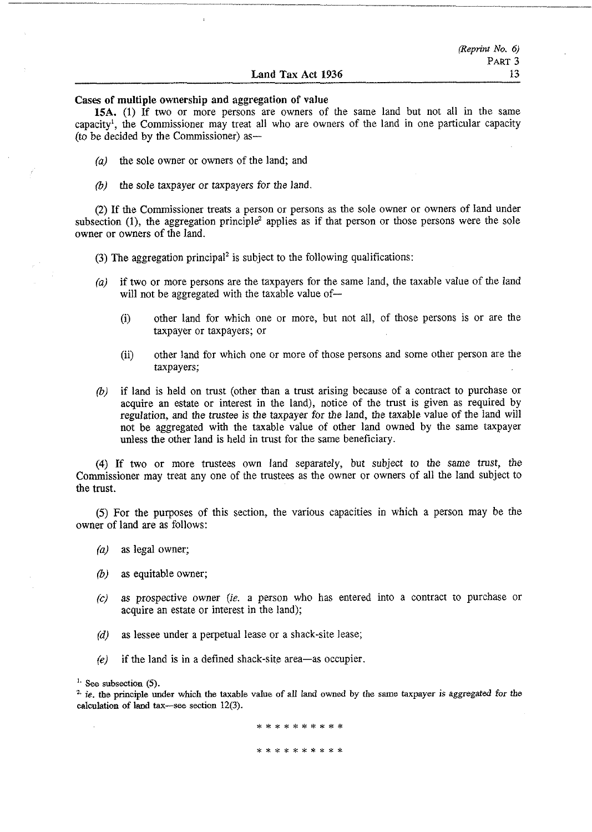#### Land Tax **Act 1936**

#### Cases of multiple ownership and aggregation of value

**15A.** (1) If two or more persons are owners of the same land but not all in the same capacity', the Commissioner may treat all who are owners of the land in one particular capacity (to be decided by the Commissioner) as-

- **(a)** the sole owner or owners of the land; and
- $(b)$  the sole taxpayer or taxpayers for the land.

(2) If the Commissioner treats a person or persons as the sole owner or owners of land under subsection  $(1)$ , the aggregation principle<sup>2</sup> applies as if that person or those persons were the sole owner or owners of the land.

**(3)** The aggregation principal2 is subject to the following qualifications:

- *(a)* if two or more persons are the taxpayers for the same land, the taxable value of the land will not be aggregated with the taxable value of-
	- (i) other land for which one or more, but not all, of those persons is or are the taxpayer or taxpayers; or
	- (ii) other land for which one or more of those persons and some other person are the taxpayers;
- $(b)$  if land is held on trust (other than a trust arising because of a contract to purchase or acquire an estate or interest in the land), notice of the trust is given as required by regulation, and the trustee is the taxpayer for the land, the taxable value of the land will not be aggregated with the taxable value of other land owned by the same taxpayer unless the other land is held in trust for the same beneficiary.

(4) If two or more trustees own land separately, but subject to the same trust, the Commissioner may treat any one of the trustees as the owner or owners of all the land subject to the trust.

(5) For the purposes of this section, the various capacities in which a person may be the owner of land are as follows:

- (a) as legal owner;
- (6) **as** equitable owner;
- **(c)** as prospective owner **(ie.** a person who has entered into a contract to purchase or acquire an estate or interest in the land);
- (d) as lessee under a perpetual lease or a shack-site lease;
- **(e)** if the land is in a defined shack-site area-as occupier.

'. **See** subsection (5).

**2. ie.** the principle under which the taxable value of all land owned by the same taxpayer is aggregated for the calculation of land tax-see section **12(3).** 

\* \* \* \* \* \* \* \* \* \*

\* \* \* \* \* \* \* \* \* \*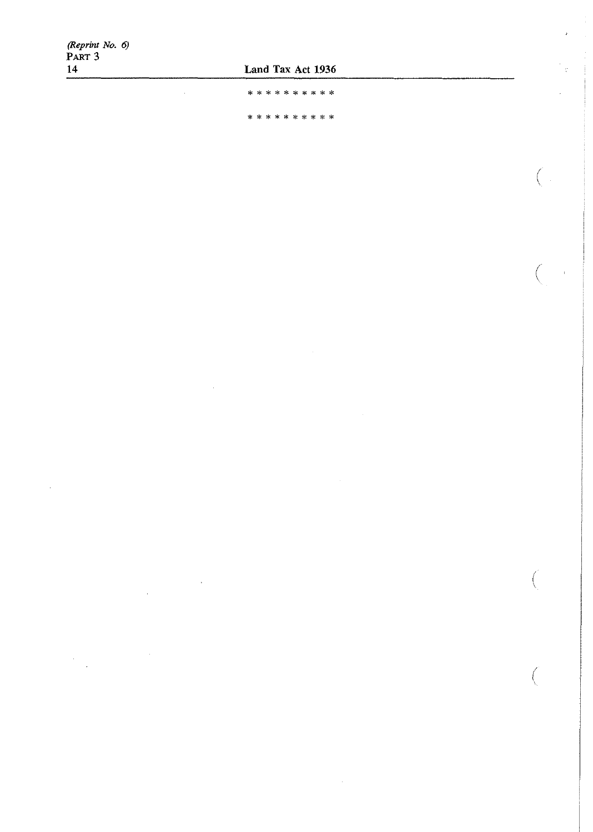$\hat{\mathcal{A}}$ 

 $\ddot{\phantom{a}}$ 

l,

# **14 Land Tax Act 1936**

\* \* \* \* \* \* \* \* \* \*

\* \* \* \* \* \* \* \* \* \*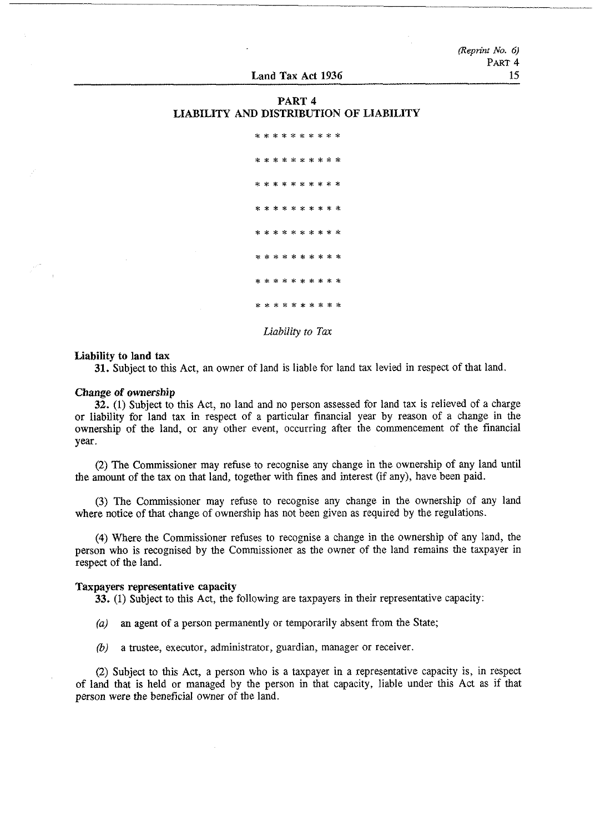*(Reprim No.* **6)**  PART 4 15

Land Tax Act 1936

#### PART 4 LIABILITY AND DISTRIBUTION OF LIABILITY



#### Liability to land tax

31. Subject to this Act, an owner of land is liable for land tax levied in respect of that land

#### Change of ownership

32. (1) Subject to this Act, no land and no person assessed for land tax is relieved of a charge or liability for land tax in respect of a particular financial year by reason of a change in the ownership of the land, or any other event, occurring after the commencement of the financial year.

(2) The Commissioner may refuse to recognise any change in the ownership of any land until the amount of the tax on that land, together with fines and interest (if any), have been paid.

**(3)** The Commissioner may refuse to recognise any change in the ownership of any land where notice of that change of ownership has not been given as required by the regulations.

(4) Where the Commissioner refuses to recognise a change in the ownership of any land, the person who is recognised by the Commissioner as the owner of the land remains the taxpayer in respect of the land.

#### Taxpayers representative capacity

33. (1) Subject to this Act, the following are taxpayers in their representative capacity:

- **(a)** an agent of a person permanently or temporarily absent from the State;
- **(b)** a trustee, executor, administrator, guardian, manager or receiver

(2) Subject to this Act, a person who is a taxpayer in a representative capacity is, in respect of land that is held or managed by the person in that capacity, liable under this Act as if that person were the beneficial owner of the land.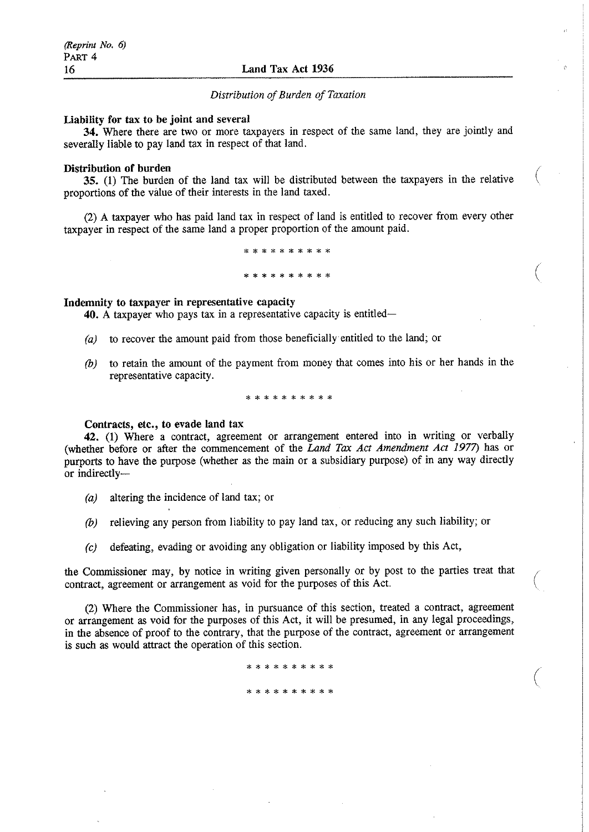#### *Distribution of Burden of Taxation*

#### Liability for tax to be joint and several

**34.** Where there are two or more taxpayers in respect of the same land, they are jointly and severally liable to pay land tax in respect of that land.

#### Distribution **of** burden

35. (1) The burden of the land tax will be distributed between the taxpayers in the relative proportions of the value of their interests in the land taxed.

(2) A taxpayer who has paid land tax in respect of land is entitled to recover from every other taxpayer in respect of the same land a proper proportion of the amount paid.

\* \* \* \* \*

#### Indemnity to taxpayer in representative capacity

40. A taxpayer who pays tax in a representative capacity is entitled-

- *(a)* to recover the amount paid from those beneficially entitled to the land; or
- **(b)** to retain the amount of the payment from money that comes into his or her hands in the representative capacity.

**\*\*\*\*\*\*\*\*\*a** 

#### Contracts, etc., to evade land tax

**42.** (1) Where a contract, agreement or arrangement entered into in writing or verbally (whether before or after the commencement of the *Land Tax Act Amendment Act* **1973** has or purports to have the purpose (whether as the main or a subsidiary purpose) of in any way directly or indirectly-

- **(a)** altering the incidence of land tax; or
- (b) relieving any person from liability to pay land tax, or reducing any such liability; or
- **(c)** defeating, evading or avoiding any obligation or liability imposed by this Act,

the Commissioner may, by notice in writing given personally or by post to the parties treat that contract, agreement or arrangement as void for the purposes of this Act.

**(2)** Where the Commissioner has, in pursuance of this section, treated a contract, agreement or arrangement as void for the purposes of this Act, it will be presumed, in any legal proceedings, in the absence of proof to the contrary, that the purpose of the contract, agreement or arrangement is such as would attract the operation of this section.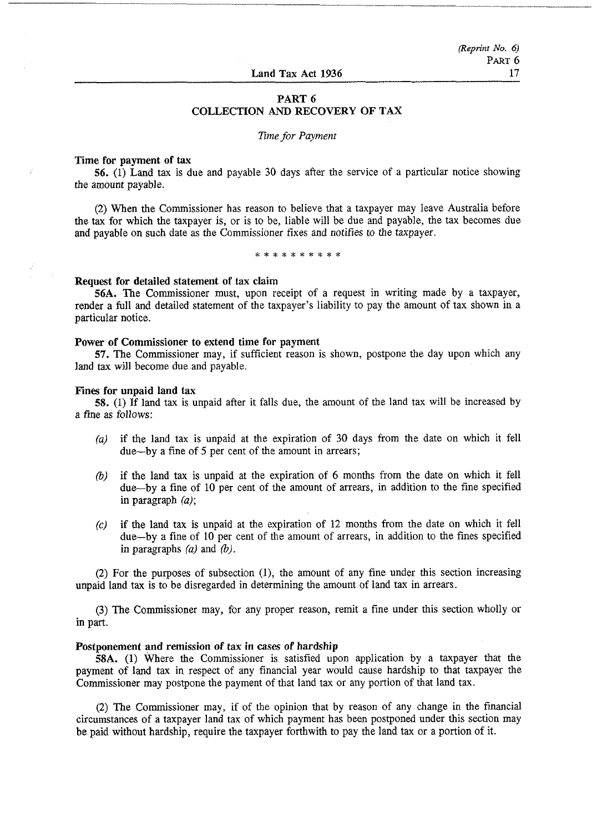Land Tax Act  $1936$  17

### PART 6

# COLLECTION AND RECOVERY OF TAX

#### *lime* **for** *Payment*

#### Time for payment of tax

56. (1) Land tax is due and payable 30 days after the service of a particular notice showing the amount payable.

(2) When the Commissioner has reason to believe that a taxpayer may leave Australia before the tax for which the taxpayer is, or is to be, liable will be due and payable, the tax becomes due and payable on such date as the Commissioner fixes and notifies to the taxpayer.

\* \* \* \* \* \* \* \* \* \*

#### Request for detailed statement of tax claim

56A. The Commissioner must, upon receipt of a request in writing made by a taxpayer, render a full and detailed statement of the taxpayer's liability to pay the amount of tax shown in a particular notice.

#### Power of Commissioner to extend time for payment

57. The Commissioner may, if sufficient reason is shown, postpone the day upon which any land tax will become due and payable.

#### Fines for unpaid land tax

58. (1) If land tax is unpaid after it falls due, the amount of the land tax will be increased by a fine as follows:

- (a) if the land tax is unpaid at the expiration of 30 days from the date on which it fell due-by a fine of 5 per cent of the amount in arrears;
- (b) if the land tax is unpaid at the expiration of 6 months from the date on which it fell due-by a fine of 10 per cent of the amount of arrears, in addition to the fine specified in paragraph  $(a)$ ;
- **(c)** if the land tax is unpaid at the expiration of 12 months from the date on which it fell due-by a fine of 10 per cent of the amount of arrears, in addition to the fines specified in paragraphs  $(a)$  and  $(b)$ .

(2) For the purposes of subsection (I), the amount of any fine under this section increasing unpaid land tax is to be disregarded in determining the amount of land tax in arrears.

**(3)** The Commissioner may, for any proper reason, remit a fine under this section wholly or in part.

#### Postponement and remission of tax in **cases** of hardship

58A. (1) Where the Commissioner is satisfied upon application by a taxpayer that the payment of land tax in respect of any financial year would cause hardship to that taxpayer the Commissioner may postpone the payment of that land tax or any portion of that land tax.

(2) The Commissioner may, if of the opinion that by reason of any change in the financial circumstances of a taxpayer land tax of which payment has been postponed under this section may be paid without hardship, require the taxpayer forthwith to pay the land tax or a portion of it.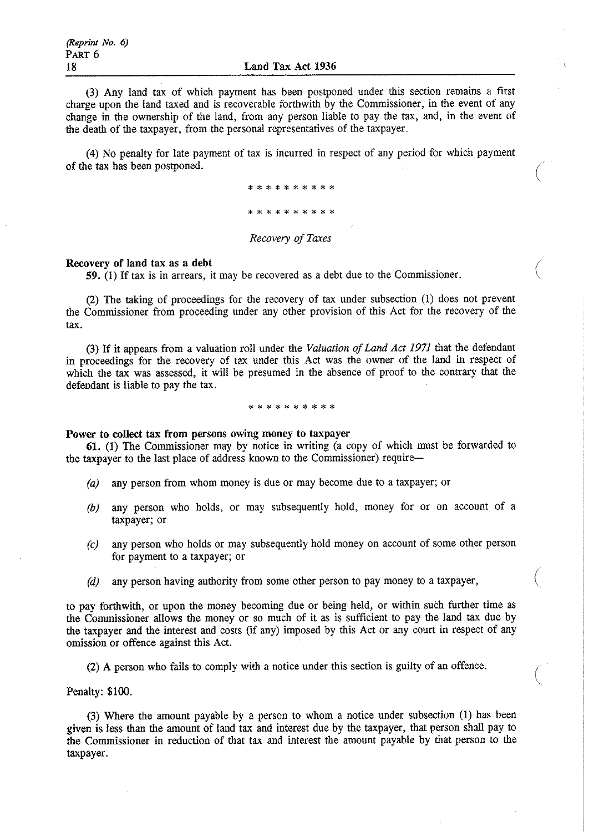(3) Any land tax of which payment has been postponed under this section remains a first charge upon the land taxed and is recoverable forthwith by the Commissioner, in the event of any change in the ownership of the land, from any person liable to pay the tax, and, in the event of the death of the taxpayer, from the personal representatives of the taxpayer.

(4) No penalty for late payment of tax is incurred in respect of any period for which payment of the tax has been postponed.

\*\*\*\*\*\*\*\*\*\* (

#### *Recovery of Taxes*

#### Recovery **of** land tax as a debt

**59. (1)** If tax is in arrears, it may be recovered as a debt due to the Commissioner.

**(2)** The taking of proceedings for the recovery of tax under subsection (1) does not prevent the Commissioner from proceeding under any other provision of this Act for the recovery of the tax.

(3) If it appears from a valuation roll under the *Valuation* of **Land** *Act 1971* that the defendant in proceedings for the recovery of tax under this Act was the owner of the land in respect of which the tax was assessed, it will be presumed in the absence of proof to the contrary that the defendant is liable to pay the tax.

#### \* \* \* \* \* \* \* \* \*

Power to collect tax from persons owing money to taxpayer

**61. (1)** The Commissioner may by notice in writing (a copy of which must be forwarded to the taxpayer to the last place of address known to the Commissioner) require-

- *(a)* any person from whom money is due or may become due to a taxpayer; or
- (b) any person who holds, or may subsequently hold, money for or on account of a taxpayer; or
- **(c)** any person who holds or may subsequently hold money on account of some other person for payment to a taxpayer; or
- $(d)$  any person having authority from some other person to pay money to a taxpayer,

to pay forthwith, or upon the money becoming due or being held, or within such further time as the Commissioner allows the money or so much of it as is sufficient to pay the land tax due by the taxpayer and the interest and costs (if any) imposed by this Act or any court in respect of any omission or offence against this Act.

(2) A person who fails to comply with a notice under this section is guilty of an offence.

#### Penalty: \$100.

(3) Where the amount payable by a person to whom a notice under subsection (1) has been given is less than the amount of land tax and interest due by the taxpayer, that person shall pay to the Commissioner in reduction of that tax and interest the amount payable by that person to the taxpayer.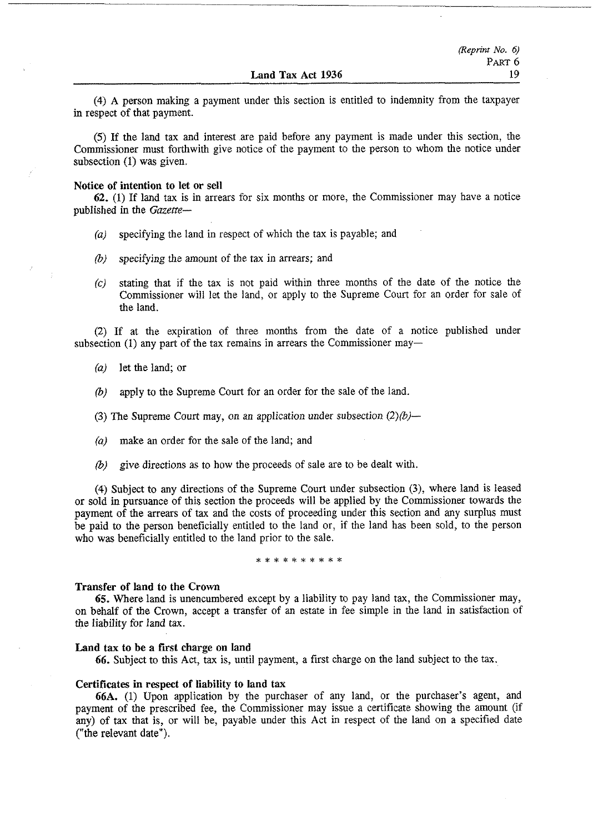(4) A person making a payment under this section is entitled to indemnity from the taxpayer in respect of that payment.

(5) If the land tax and interest are paid before any payment is made under this section, the Commissioner must forthwith give notice of the payment to the person to whom the notice under subsection (1) was given.

**Notice of intention to let or sell** 

**62.** (1) If land tax is in arrears for six months or more, the Commissioner may have a notice published in the *Gazefte-* 

- (a) specifying the land in respect of which the tax is payable; and
- $(b)$  specifying the amount of the tax in arrears; and
- **(c)** stating that if the tax is not paid within three months of the date of the notice the Commissioner will let the land, or apply to the Supreme Court for an order for sale of the land.

(2) If at the expiration of three months from the date of a notice published under subsection (1) any part of the tax remains in arrears the Commissioner may-

- (a) let the land; or
- (b) apply to the Supreme Court for an order for the sale of the land.
- **(3) The Supreme Court may, on an application under subsection**  $(2)(b)$
- (a) make an order for the sale of the land; and
- (b) give directions as to how the proceeds of sale are to be dealt with.

(4) Subject to any directions of the Supreme Court under subsection **(3),** where land is leased or sold in pursuance of this section the proceeds will be applied by the Commissioner towards the payment of the arrears of tax and the costs of proceeding under this section and any surplus must be paid to the person beneficially entitled to the land or, if the land has been sold, to the person who was beneficially entitled to the land prior to the sale.

\* \* \* \* \* \* \* \* \* \*

#### **Transfer of land to the Crown**

**65.** Where land is unencumbered except by a liability to pay land tax, the Commissioner may, on behalf of the Crown, accept a transfer of an estate in fee simple in the land in satisfaction of the liability for land tax.

#### **Land tax to be a first charge on land**

66. Subject to this Act, tax is, until payment, a first charge on the land subject to the tax.

# **Certificates in respect of liability to land tax**

**66A. (1)** Upon application by the purchaser of any land, or the purchaser's agent, and payment of the prescribed fee, the Commissioner may issue a certificate showing the amount (if any) of tax that is, or will be, payable under this Act in respect of the land on a specified date ("the relevant date").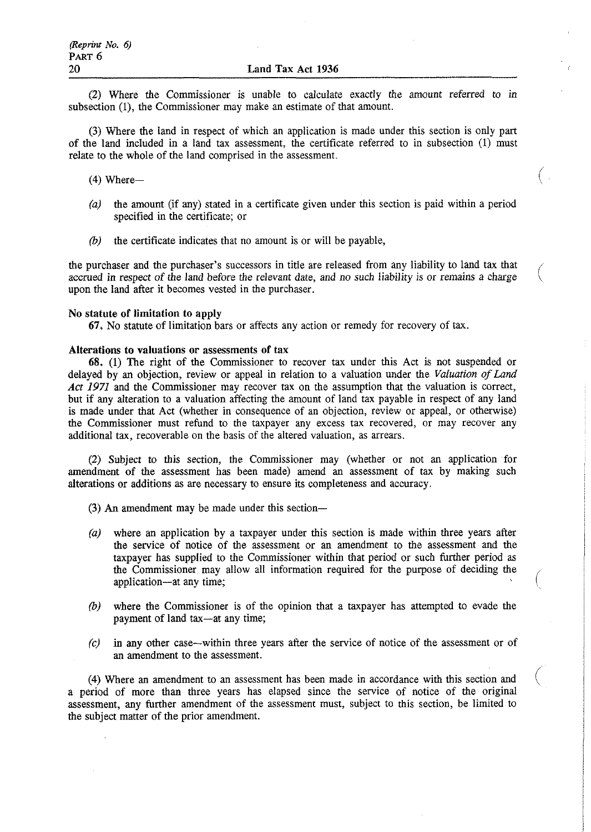(2) Where the Commissioner is unable to calculate exactly the amount referred to in subsection (1), the Commissioner may make an estimate of that amount.

(3) Where the land in respect of which an application is made under this section is only part of the land included in a land tax assessment, the certificate referred to in subsection (1) must relate to the whole of the land comprised in the assessment.

- (4) Where  $\left($
- *(a)* the amount (if any) stated in a certificate given under this section is paid within a period specified in the certificate; or
- **0)** the certificate indicates that no amount is or will be payable,

the purchaser and the purchaser's successors in title are released from any liability to land tax that accrued in respect of the land before the relevant date, and no such liability is or remains a charge upon the land after it becomes vested in the purchaser.

#### No statute of limitation to apply

67. No statute of limitation bars or affects any action or remedy for recovery of tax.

#### Alterations to valuations or assessments **of** tax

**68.** (1) The right of the Commissioner to recover tax under this **Act** is not suspended or delayed by an objection, review or appeal in relation to a valuation under the *Valuation of* Land *Act 1971* and the Commissioner may recover tax on the assumption that the valuation is correct, but if any alteration to a valuation affecting the amount of land tax payable in respect of any land is made under that Act (whether in consequence of an objection, review or appeal, or otherwise) the Commissioner must refund to the taxpayer any excess tax recovered, or may recover any additional tax, recoverable on the basis of the altered valuation, as arrears.

(2) Subject to this section, the Commissioner may (whether or not an application for amendment of the assessment has been made) amend an assessment of tax by making such alterations or additions as are necessary to ensure its completeness and accuracy.

(3) An amendment may be made under this section-

- **(a)** where an application by a taxpayer under this section is made within three years after the service of notice of the assessment or an amendment to the assessment and the taxpayer has supplied to the Commissioner within that period or such further period as the Commissioner may allow all information required for the purpose of deciding the the service of notice of the assessment of an amendment to the assessment and the taxpayer has supplied to the Commissioner within that period or such further period as the Commissioner may allow all information required f
- (b) where the Commissioner is of the opinion that a taxpayer has attempted to evade the payment of land tax-at any time;
- **(c)** in any other case-within three years after the service of notice of the assessment or of an amendment to the assessment.

(4) Where an amendment to an assessment has been made in accordance with this section and a period of more than three years has elapsed since the service of notice of the original assessment, any further amendment of the assessment must, subject to this section, be limited to the subject matter of the prior amendment.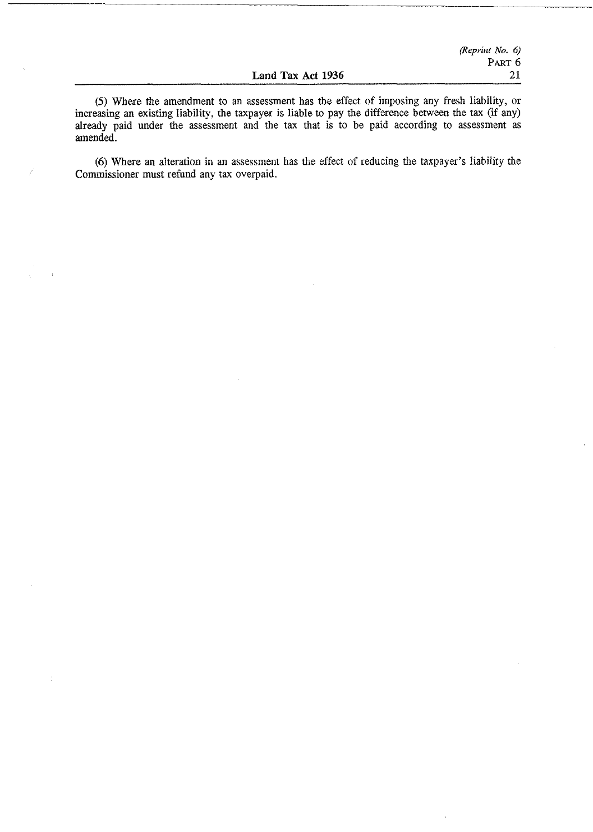#### **Land Tax Act 1936**

(5) Where the amendment to an assessment has the effect of imposing any fresh liability, or increasing an existing liability, the taxpayer is liable to pay the difference between the tax (if any) already paid under the assessment and the tax that is to be paid according to assessment as amended.

*(6)* Where an alteration in an assessment has the effect of reducing the taxpayer's liability the Commissioner must refund any tax overpaid.

Í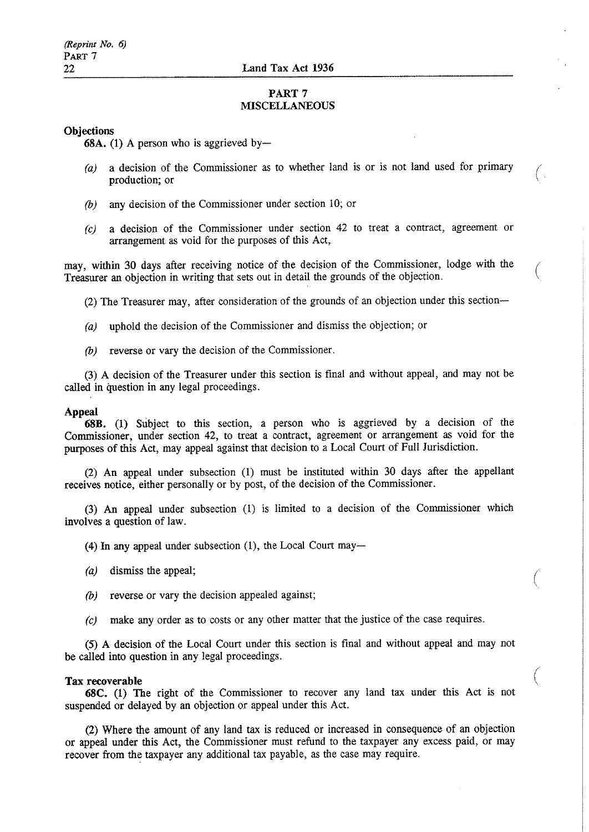#### PART **7**  MISCELLANEOUS

#### **Objections**

**68A.** (1) A person who is aggrieved by-

- (a) a decision of the Commissioner as to whether land is or is not land used for primary S<br>
(1) A person who is aggrieved by—<br>
a decision of the Commissioner as to whether land is or is not land used for primary<br>
production; or
- (b) any decision of the Commissioner under section **10;** or
- (c) a decision of the Commissioner under section **42** to treat a contract, agreement or arrangement as void for the purposes of this Act,

may, within **30** days after receiving notice of the decision of the Commissioner, lodge with the Treasurer an objection in writing that sets out in detail the grounds of the objection.

**(2)** The Treasurer may, after consideration of the grounds of an objection under this section-

- (a) uphold the decision of the Commissioner and dismiss the objection; or
- (b) reverse or vary the decision of the Commissioner.

**(3)** A decision of the Treasurer under this section is final and without appeal, and may not be called in question in any legal proceedings.

**Appeal 68B. (1)** Subject to this section, a person who is aggrieved by a decision of the Commissioner, under section **42,** to treat a contract, agreement or arrangement as void for the purposes of this Act, may appeal against that decision to a Local Court of Full Jurisdiction.

**(2)** An appeal under subsection (1) must be instituted within **30** days after the appellant receives notice, either personally or by post, of the decision of the Commissioner.

**(3)** An appeal under subsection **(1)** is limited to a decision of the Commissioner which involves a question of law.

(4) In any appeal under subsection **(I),** the Local Court may-

- (a) dismiss the appeal;  $\left(\right)$
- (b) reverse or vary the decision appealed against;
- (c) make any order as to costs or any other matter that the justice of the case requires

(5) A decision of the Local Court under this section is final and without appeal and may not he called into question in any legal proceedings.

 $\begin{pmatrix} 1 & 1 \\ 1 & 1 \end{pmatrix}$ 

#### **Tax recoverable**

**68C.** (1) The right of the Commissioner to recover any land tax under this Act is not suspended or delayed by an objection or appeal under this Act.

**(2)** Where the amount of any land tax is reduced or increased in consequence of an objection or appeal under this Act, the Commissioner must refund to the taxpayer any excess paid, or may recover from the taxpayer any additional tax payable, as the case may require.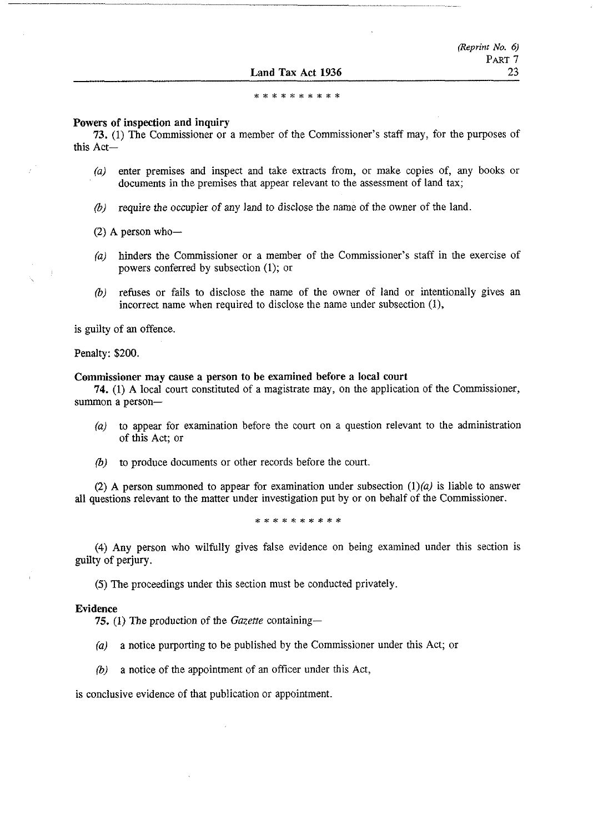#### Land Tax Act **1936**

\* \* \* \* \* \* \* \* \* \*

#### Powers of inspection and inquiry

**73.** *(1)* The Commissioner or a member of the Commissioner's staff may, for the purposes of this Act-

- **(a)** enter premises and inspect and take extracts from, or make copies of, any books or documents in the premises that appear relevant to the assessment of land tax;
- (b) require the occupier of any land to disclose the name of the owner of the land.
- $(2)$  A person who-
- *(a)* hinders the Commissioner or a member of the Commissioner's staff in the exercise of powers conferred by subsection (1); or
- $(b)$  refuses or fails to disclose the name of the owner of land or intentionally gives an incorrect name when required to disclose the name under subsection (I),

is guilty of an offence.

#### Penalty: \$200.

#### Commissioner may cause a person to be examined before a local court

*74. (1)* A local court constituted of a magistrate may, on the application of the Commissioner, summon a person-

- *(a)* to appear for examination before the court on a question relevant to the administration of this Act; or
- (b) to produce documents or other records before the court.

**(2)** A person summoned to appear for examination under subsection *(l)(a)* is liable to answer all questions relevant to the matter under investigation put by or on behalf of the Commissioner.

\* \* \* \* \* \* \* \* \* \*

(4) Any person who wilfully gives false evidence on being examined under this section is guilty of perjury.

(5) The proceedings under this section must be conducted privately.

#### Evidence

75. (1) The production of the *Gazette* containing-

- *(a)* a notice purporting to be published by the Commissioner under this Act; or
- (b) a notice of the appointment of an officer under this Act,

is conclusive evidence of that publication or appointment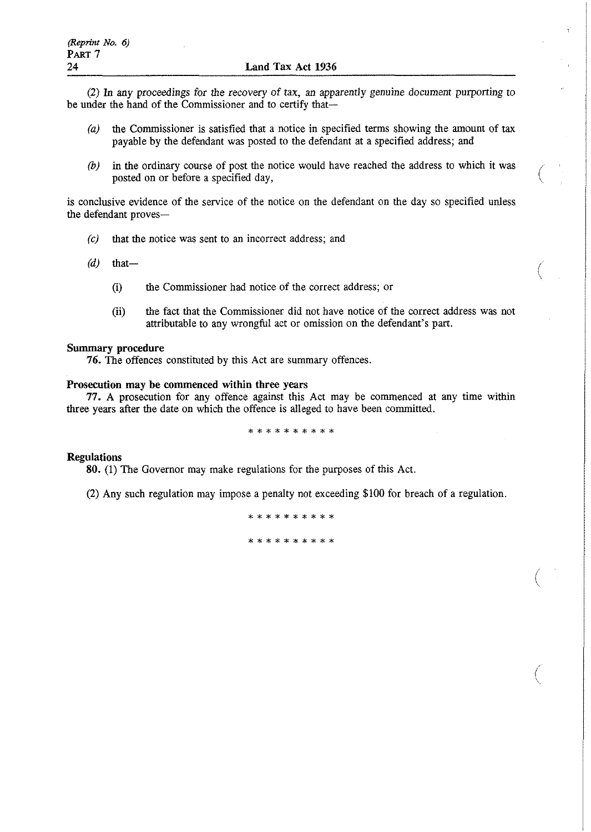$\overline{\mathbf{r}}$ 

*(2)* In any proceedings for the recovery of tax, an apparently genuine document purporting to be under the hand of the Commissioner and to certify that-

- **(a)** the Commissioner is satisfied that a notice in specified terms showing the amount of tax payable by the defendant was posted to the defendant at a specified address; and
- *(b)* in the ordinary course of post the notice would have reached the address to which it was posted on or before a specified day,

is conclusive evidence of the service of the notice on the defendant on the day so specified unless the defendant proves-

- **(c)** that the notice was sent to an incorrect address; and
- (d) that  $-$  (d) that  $-$  (d) that  $-$ 
	- (i) the Commissioner had notice of the correct address; or
	- (ii) the fact that the Commissioner did not have notice of the correct address was not attributable to any wrongful act or omission on the defendant's part.

#### Summary procedure

76. The offences constituted by this Act are summary offences.

#### Prosecution may be commenced within three years

**77.** A prosecution for any offence against this Act may be commenced at any time within three years after the date on which the offence is alleged to have been committed.

\*\*\*\*\*\*\*\*

#### Regulations

**80.** (1) The Governor may make regulations for the purposes of this Act.

(2) Any such regulation may impose a penalty not exceeding \$100 for breach of a regulation.

\*\*\*\*\*\*\*\*\*\* \*\*\*\*\*\*\*\*\*\*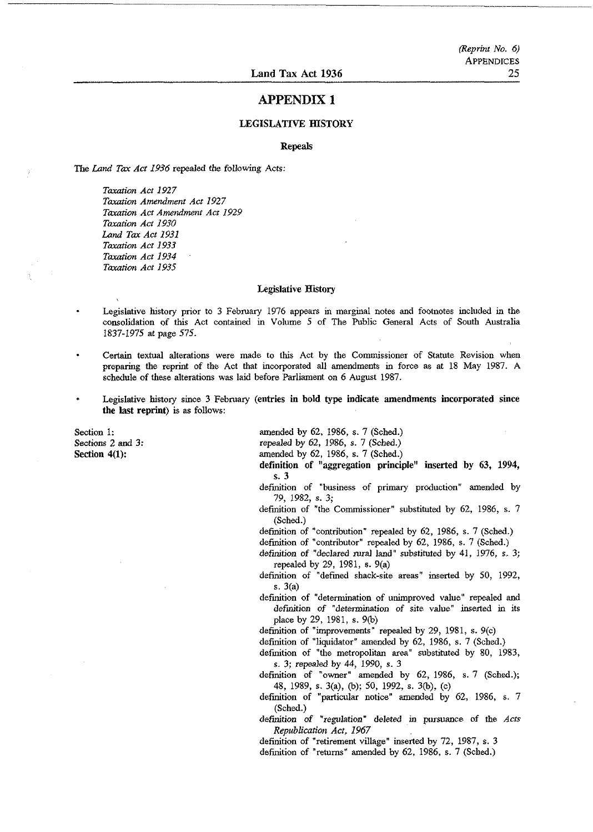(Reprint No. *6)*  **APPENDICES** 

#### **APPENDIX 1**

#### **LEGISLATIVE HISTORY**

#### Repeals

The Land Tax Act 1936 repealed the following Acts:

Taxation Act 1927 Taxation Amendment Act 1927 Taration Act Amendment Act *1929*  Taxation Act *1930*  Land Tar Act *I931*  Taxation Act *1933*  Taxation Act 1934 Taxation Act *1935* 

#### Legislative History

- Legislative history prior to 3 February 1976 appears in marginal notes and footnotes included in the consolidation of this Act contained in Volume 5 of The Public General Acts of South Australia 1837-1975 at page 575.
- Certain textual alterations were made to this Act by the Commissioner of Statute Revision when preparing the reprint of the Act that incorporated all amendments in force as at 18 May 1987. A schedule of these alterations was laid before Parliament on 6 August 1987.
- Legislative history since 3 February (entries in bold type indicate amendments incorporated since the last reprint) is as follows:

Section 1: Sections 2 and 3: Section **4(1):** 

amended by 62, 1986, s. 7 (Sched.)

- repealed by 62, 1986, s. 7 (Sched.)
- amended by 62, 1986, s. 7 (Sched.)
- definition of "aggregation principle" inserted by 63, 1994, s. **3**
- definition of "business of primary production" amended by 79, 1982, s. 3;
- definition of "the Commissioner" substituted by 62, 1986, s. 7 (Sched.)
- definition of "contribution" repealed by 62, 1986, s. 7 (Sched.)
- definition of "contributor" repealed by 62, 1986, s. 7 (Sched.)
- definition of "declared rural land" substituted by 41, 1976, s. 3; repealed by 29, 1981, **s.** 9(a)
- definition of "defined shack-site areas" inserted by 50, 1992, s. 3(a)
- definition of "determination of unimproved value" repeated **and**  definition of "determination of site value" inserted in its place by 29, 1981, s. 9(b)

definition of "improvements" repeated by 29, 1981, s. 9(c)

definition of "liquidator" amended by 62, 1986, s. 7 (Sched.)

definition of "the metropolitan area" substituted by 80, 1983, s. 3; repeated by 44, 1990, s. 3

definition of "owner" amended by 62, 1986, s. 7 (Sched.); 48, 1989, s. 3(a), @); 50, 1992, s. 3@), (c)

- definition of "particular notice" amended by 62, 1986, s. 7 (Sched.)
- definition of "regulation" deleted in pursuance of the Acts Republication Act, *1967*

definition of "retirement village" inserted by 72, 1987, s. 3

definition of "returns" amended by 62, 1986, s. 7 (Sched.)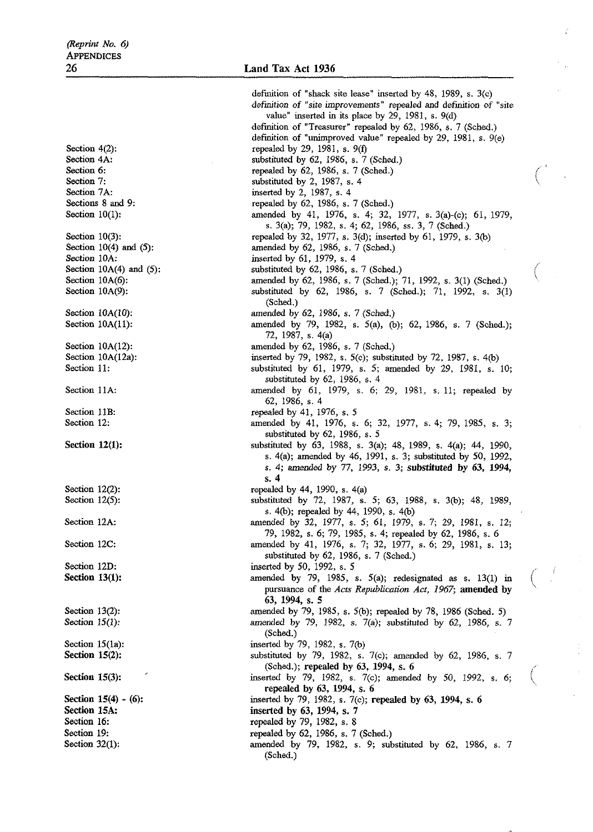Section 4(2): Section  $4A$ : Section 6: Section 7: Section 7A: Sections 8 and 9: Section  $10(1)$ : Section  $10(3)$ : Section  $10(4)$  and  $(5)$ : Section 10A: Section lOA(4) **and** (5): Section 10A(6): Section 10A(9): Section 10A(10): Section  $10A(11)$ : Section 10A(12): Section 10A(12a): Section 11: Section 11A: Section 11B: Section 12: **Section** 12(1): Section 12(2): Section 12(5): Section 12A: Section 12C: Section 12D: **Section** 13(1): Section 13(2): Section 15(1): Section 15(1a): **Section** 15(2): **Section** 15(3): Section **15(4)** - (6): Section 15A: Section **16:**  Section 19:

Section 32(1):

| definition of "shack site lease" inserted by 48, 1989, s. 3(c)<br>definition of "site improvements" repealed and definition of "site<br>value" inserted in its place by 29, 1981, s. 9(d)<br>definition of "Treasurer" repealed by 62, 1986, s. 7 (Sched.)<br>definition of "unimproved value" repealed by 29, 1981, s. 9(e)<br>repealed by 29, 1981, s. 9(f) |  |
|---------------------------------------------------------------------------------------------------------------------------------------------------------------------------------------------------------------------------------------------------------------------------------------------------------------------------------------------------------------|--|
| substituted by 62, 1986, s. 7 (Sched.)<br>repealed by 62, 1986, s. 7 (Sched.)                                                                                                                                                                                                                                                                                 |  |
| substituted by 2, 1987, s. 4<br>inserted by 2, 1987, s. 4                                                                                                                                                                                                                                                                                                     |  |
| repealed by 62, 1986, s. 7 (Sched.)                                                                                                                                                                                                                                                                                                                           |  |
| amended by 41, 1976, s. 4; 32, 1977, s. 3(a)-(c); 61, 1979,<br>s. 3(a); 79, 1982, s. 4; 62, 1986, ss. 3, 7 (Sched.)                                                                                                                                                                                                                                           |  |
| repealed by 32, 1977, s. 3(d); inserted by 61, 1979, s. 3(b)<br>amended by 62, 1986, s. 7 (Sched.)                                                                                                                                                                                                                                                            |  |
| inserted by 61, 1979, s. 4                                                                                                                                                                                                                                                                                                                                    |  |
| substituted by 62, 1986, s. 7 (Sched.)                                                                                                                                                                                                                                                                                                                        |  |
| amended by 62, 1986, s. 7 (Sched.); 71, 1992, s. 3(1) (Sched.)<br>substituted by 62, 1986, s. 7 (Sched.); 71, 1992, s. 3(1)                                                                                                                                                                                                                                   |  |
| (Sched.)                                                                                                                                                                                                                                                                                                                                                      |  |
| amended by 62, 1986, s. 7 (Sched.)<br>amended by 79, 1982, s. 5(a), (b); 62, 1986, s. 7 (Sched.);                                                                                                                                                                                                                                                             |  |
| 72, 1987, s. 4(a)                                                                                                                                                                                                                                                                                                                                             |  |
| amended by 62, 1986, s. 7 (Sched.)                                                                                                                                                                                                                                                                                                                            |  |
| inserted by 79, 1982, s. 5(c); substituted by 72, 1987, s. 4(b)<br>substituted by 61, 1979, s. 5; amended by 29, 1981, s. 10;                                                                                                                                                                                                                                 |  |
| substituted by 62, 1986, s. 4                                                                                                                                                                                                                                                                                                                                 |  |
| amended by 61, 1979, s. 6; 29, 1981, s. 11; repealed by                                                                                                                                                                                                                                                                                                       |  |
| 62, 1986, s. 4                                                                                                                                                                                                                                                                                                                                                |  |
| repealed by 41, 1976, s. 5                                                                                                                                                                                                                                                                                                                                    |  |
| amended by 41, 1976, s. 6; 32, 1977, s. 4; 79, 1985, s. 3;                                                                                                                                                                                                                                                                                                    |  |
| substituted by $62$ , 1986, s. 5                                                                                                                                                                                                                                                                                                                              |  |
| substituted by 63, 1988, s. 3(a); 48, 1989, s. 4(a); 44, 1990,                                                                                                                                                                                                                                                                                                |  |
| s. 4(a); amended by 46, 1991, s. 3; substituted by 50, 1992,                                                                                                                                                                                                                                                                                                  |  |
| s. 4; amended by 77, 1993, s. 3; substituted by 63, 1994,                                                                                                                                                                                                                                                                                                     |  |
| s.4                                                                                                                                                                                                                                                                                                                                                           |  |
| repealed by $44$ , 1990, s. $4(a)$                                                                                                                                                                                                                                                                                                                            |  |
| substituted by 72, 1987, s. 5; 63, 1988, s. 3(b); 48, 1989,<br>s. 4(b); repealed by 44, 1990, s. 4(b)                                                                                                                                                                                                                                                         |  |
| amended by 32, 1977, s. 5; 61, 1979, s. 7; 29, 1981, s. 12;                                                                                                                                                                                                                                                                                                   |  |
| 79, 1982, s. 6, 79, 1985, s. 4; repealed by 62, 1986, s. 6                                                                                                                                                                                                                                                                                                    |  |
| amended by 41, 1976, s. 7; 32, 1977, s. 6; 29, 1981, s. 13;<br>substituted by 62, 1986, s. 7 (Sched.)                                                                                                                                                                                                                                                         |  |
| inserted by 50, 1992, s. 5                                                                                                                                                                                                                                                                                                                                    |  |
| amended by 79, 1985, s. 5(a); redesignated as s. 13(1) in                                                                                                                                                                                                                                                                                                     |  |
| pursuance of the Acts Republication Act, 1967; amended by                                                                                                                                                                                                                                                                                                     |  |
| 63, 1994, s. 5                                                                                                                                                                                                                                                                                                                                                |  |
| amended by 79, 1985, s. 5(b); repealed by 78, 1986 (Sched. 5)                                                                                                                                                                                                                                                                                                 |  |
| amended by 79, 1982, s. 7(a); substituted by 62, 1986, s. 7                                                                                                                                                                                                                                                                                                   |  |
| (Sched.)                                                                                                                                                                                                                                                                                                                                                      |  |
| inserted by 79, 1982, s. 7(b)                                                                                                                                                                                                                                                                                                                                 |  |
| substituted by 79, 1982, s. 7(c); amended by 62, 1986, s. 7                                                                                                                                                                                                                                                                                                   |  |
| (Sched.); repealed by 63, 1994, s. 6                                                                                                                                                                                                                                                                                                                          |  |
| inserted by 79, 1982, s. 7(c); amended by 50, 1992, s. 6;                                                                                                                                                                                                                                                                                                     |  |
| repealed by 63, 1994, s. 6                                                                                                                                                                                                                                                                                                                                    |  |
| inserted by 79, 1982, s. 7(c); repealed by 63, 1994, s. 6                                                                                                                                                                                                                                                                                                     |  |
| inserted by 63, 1994, s. 7                                                                                                                                                                                                                                                                                                                                    |  |
| repealed by 79, 1982, s. 8                                                                                                                                                                                                                                                                                                                                    |  |
| repealed by 62, 1986, s. 7 (Sched.)                                                                                                                                                                                                                                                                                                                           |  |
| amended by 79, 1982, s. 9; substituted by 62, 1986, s. 7<br>(Sched.)                                                                                                                                                                                                                                                                                          |  |
|                                                                                                                                                                                                                                                                                                                                                               |  |

İ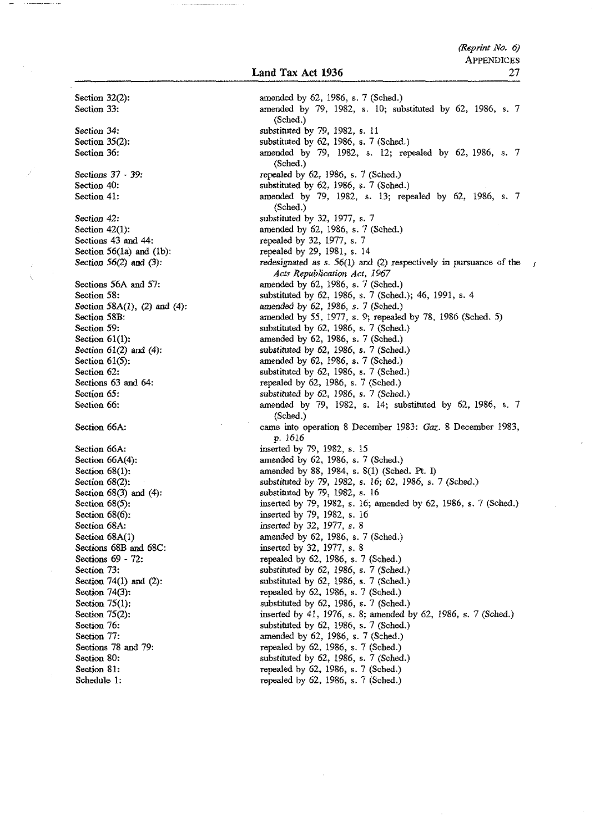Section 32(2): Section 33: Section 34: Section 35(2): Section 36: Sections 37 - 39: Section 40: Section 41: Section 42: Section 42(1): Sections 43 and 44: Section 56(1a) and (1b): Section 56(2) and (3): Sections 56A **and** 57: Section 58: Section 58A(1), (2) and (4): Section 58B: Section 59: Section 61(1): Section 61(2) and (4): Section  $61(5)$ : Section 62: Sections 63 and **64.**  Section 65: Section 66: Section 66A: Section 66A: Section 66A(4): Section 68(1): Section 68(2): Section 68(3) and (4): Section 68(5): Section 68(6): Section 68A: Section 68A(1) Sections 68B and 68C: Sections 69 - 72: Section 73: Section 74(1) and (2): Section 74(3): Section 75(1):

Section 75(2): Section 76: Section 77:

Section 80: Section 81: Schedule 1:

Sections 78 and 79:

substituted by 62, 1986, s. 7 (Sched.) amended by 62, 1986, s. 7 (Sched.) substituted by 62, 1986, s. 7 (Sched.) amended by 62, 1986, s. 7 (Sched.) substituted by 62, 1986, s. 7 (Sched.) repealed by 62, 1986, s. 7 (Sched.) substituted by 62, 1986, s. 7 (Sched.) amended by 79, 1982, s. 14; substituted by 62, 1986, **s.** 7 (Sched.) came into operation 8 December 1983: **Gar.** 8 December 1983, p. 1616 inserted by 79, 1982, s. 15 amended by 62, 1986, s. 7 (Sched.) amended by 88, 1984, s. 8(1) (Sched. **h.** I) substituted by 79, 1982, s. 16; 62, 1986, s. 7 (Sched.) substituted by 79, 1982, s. 16 inserted by 79, 1982, s. 16; amended by 62, 1986, s. 7 (Sched.) inserted by 79, 1982, s. 16 inserted by 32, 1977, s. 8 amended by 62, 1986, s. 7 (Sched.) inserted by 32, 1977, s. 8 repealed by 62, 1986, s. 7 (Sched.)

**Land Tax Act 1936** 

(Sched.)

(Scbed.)

(Sched.)

amended by 62, 1986, s. 7 (Sched.)

repealed by 62, 1986, s. 7 (Sched.) substituted by 62, 1986, s. 7 (Sched.)

Acts *Republication* Act, 1967 amended by 62, 1986, s. 7 (Sched.)

amended by 62, 1986, s. 7 (Sched.)

substituted by 79, 1982, s. 11 substituted by 62, 1986, s. 7 (Sched.)

substituted by 32, 1977, s. 7 amended by 62, 1986, s. 7 (Sched.)

repealed by 32, 1977, s. 7 repealed by 29, 1981, s. 14

amended by 79, 1982, s. 10; substituted by 62, 1986, s. 7

amended by 79, 1982, s. 12; repealed by 62, 1986, s. 7

amended by 79, 1982, s. 13; repealed by 62, 1986, s. 7

redesignated as s. 56(1) and (2) respectively in pursuance of the  $\frac{1}{10}$ 

substituted by 62, 1986, s. 7 (Sched.); 46, 1991, s. 4

amended by 55, 1977, s. 9; repealed by 78, 1986 (Sched. 5)

substituted by 62, 1986, s. 7 (Sched.)

substituted by 62, 1986, s. 7 (Sched.)

repealed by 62, 1986, s. 7 (Sched.)

substituted by 62, 1986, s. 7 (Sched.)

inserted by 41, 1976, s. 8; amended by 62, 1986, s. 7 (Sched.)

substituted by 62, 1986, s. 7 (Sched.)

amended by 62, 1986, s. 7 (Sched.) repealed by 62, 1986, s. 7 (Sched.)

substituted by 62, 1986, s. 7 (Sched.)

repealed by 62, 1986, s. 7 (Sched.)

repeated by 62, 1986, s. 7 (Sched.)

27